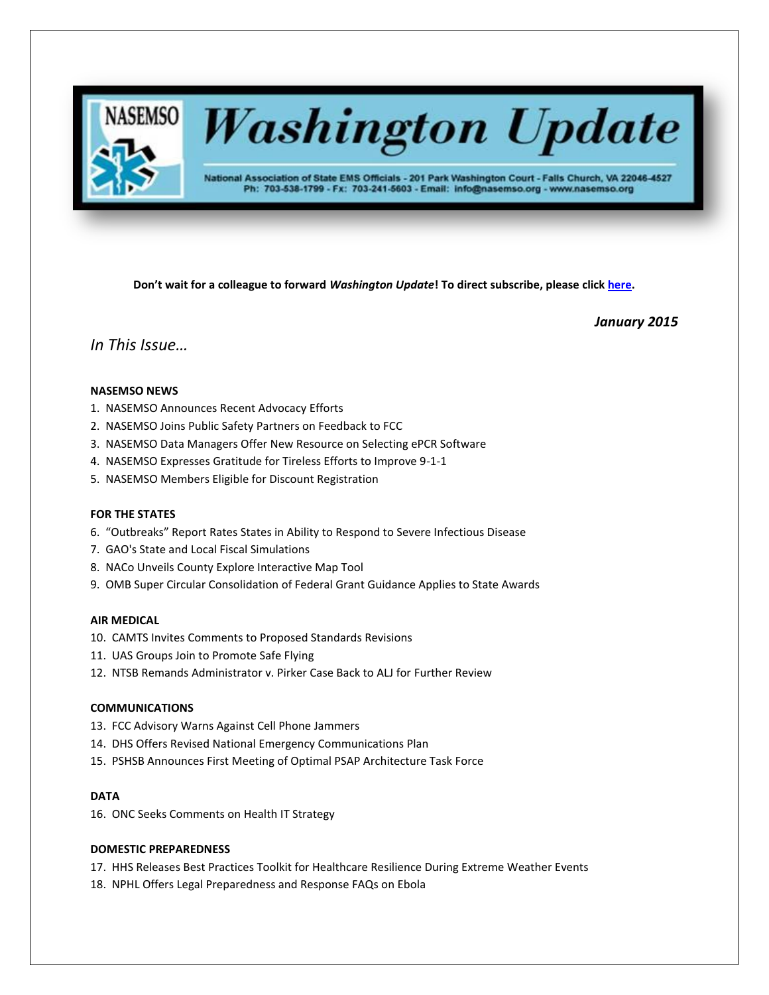

# **Washington Update**

National Association of State EMS Officials - 201 Park Washington Court - Falls Church, VA 22046-4527 Ph: 703-538-1799 - Fx: 703-241-5603 - Email: info@nasemso.org - www.nasemso.org

**Don't wait for a colleague to forward** *Washington Update***! To direct subscribe, please click [here.](http://lists.nasemso.org/read/all_forums/subscribe?name=wu%20)**

*January 2015*

# *In This Issue…*

## **NASEMSO NEWS**

- 1. NASEMSO Announces Recent Advocacy Efforts
- 2. NASEMSO Joins Public Safety Partners on Feedback to FCC
- 3. NASEMSO Data Managers Offer New Resource on Selecting ePCR Software
- 4. NASEMSO Expresses Gratitude for Tireless Efforts to Improve 9-1-1
- 5. NASEMSO Members Eligible for Discount Registration

## **FOR THE STATES**

- 6. "Outbreaks" Report Rates States in Ability to Respond to Severe Infectious Disease
- 7. GAO's State and Local Fiscal Simulations
- 8. NACo Unveils County Explore Interactive Map Tool
- 9. OMB Super Circular Consolidation of Federal Grant Guidance Applies to State Awards

## **AIR MEDICAL**

- 10. CAMTS Invites Comments to Proposed Standards Revisions
- 11. UAS Groups Join to Promote Safe Flying
- 12. NTSB Remands Administrator v. Pirker Case Back to ALJ for Further Review

## **COMMUNICATIONS**

- 13. FCC Advisory Warns Against Cell Phone Jammers
- 14. DHS Offers Revised National Emergency Communications Plan
- 15. PSHSB Announces First Meeting of Optimal PSAP Architecture Task Force

## **DATA**

16. ONC Seeks Comments on Health IT Strategy

## **DOMESTIC PREPAREDNESS**

- 17. HHS Releases Best Practices Toolkit for Healthcare Resilience During Extreme Weather Events
- 18. NPHL Offers Legal Preparedness and Response FAQs on Ebola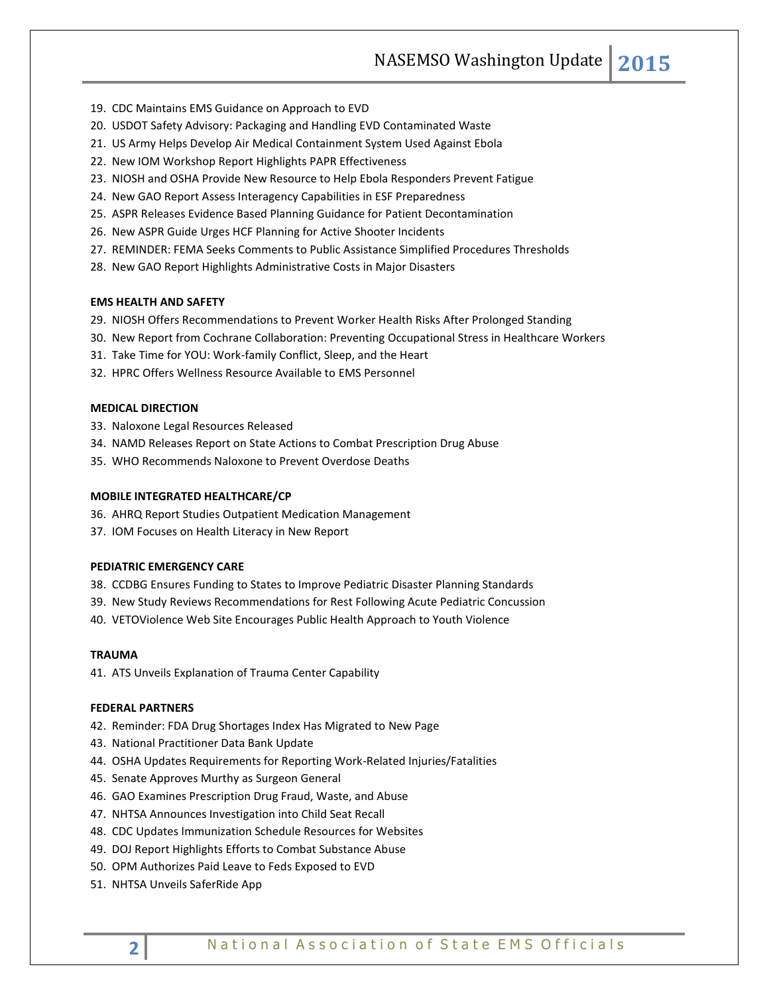NASEMSO Washington Update **2015**

- 19. CDC Maintains EMS Guidance on Approach to EVD
- 20. USDOT Safety Advisory: Packaging and Handling EVD Contaminated Waste
- 21. US Army Helps Develop Air Medical Containment System Used Against Ebola
- 22. New IOM Workshop Report Highlights PAPR Effectiveness
- 23. NIOSH and OSHA Provide New Resource to Help Ebola Responders Prevent Fatigue
- 24. New GAO Report Assess Interagency Capabilities in ESF Preparedness
- 25. ASPR Releases Evidence Based Planning Guidance for Patient Decontamination
- 26. New ASPR Guide Urges HCF Planning for Active Shooter Incidents
- 27. REMINDER: FEMA Seeks Comments to Public Assistance Simplified Procedures Thresholds
- 28. New GAO Report Highlights Administrative Costs in Major Disasters

## **EMS HEALTH AND SAFETY**

- 29. NIOSH Offers Recommendations to Prevent Worker Health Risks After Prolonged Standing
- 30. New Report from Cochrane Collaboration: Preventing Occupational Stress in Healthcare Workers
- 31. Take Time for YOU: Work-family Conflict, Sleep, and the Heart
- 32. HPRC Offers Wellness Resource Available to EMS Personnel

## **MEDICAL DIRECTION**

- 33. Naloxone Legal Resources Released
- 34. NAMD Releases Report on State Actions to Combat Prescription Drug Abuse
- 35. WHO Recommends Naloxone to Prevent Overdose Deaths

## **MOBILE INTEGRATED HEALTHCARE/CP**

- 36. AHRQ Report Studies Outpatient Medication Management
- 37. IOM Focuses on Health Literacy in New Report

#### **PEDIATRIC EMERGENCY CARE**

- 38. CCDBG Ensures Funding to States to Improve Pediatric Disaster Planning Standards
- 39. New Study Reviews Recommendations for Rest Following Acute Pediatric Concussion
- 40. VETOViolence Web Site Encourages Public Health Approach to Youth Violence

#### **TRAUMA**

41. ATS Unveils Explanation of Trauma Center Capability

#### **FEDERAL PARTNERS**

- 42. Reminder: FDA Drug Shortages Index Has Migrated to New Page
- 43. National Practitioner Data Bank Update
- 44. OSHA Updates Requirements for Reporting Work-Related Injuries/Fatalities
- 45. Senate Approves Murthy as Surgeon General
- 46. GAO Examines Prescription Drug Fraud, Waste, and Abuse
- 47. NHTSA Announces Investigation into Child Seat Recall
- 48. CDC Updates Immunization Schedule Resources for Websites
- 49. DOJ Report Highlights Efforts to Combat Substance Abuse
- 50. OPM Authorizes Paid Leave to Feds Exposed to EVD
- 51. NHTSA Unveils SaferRide App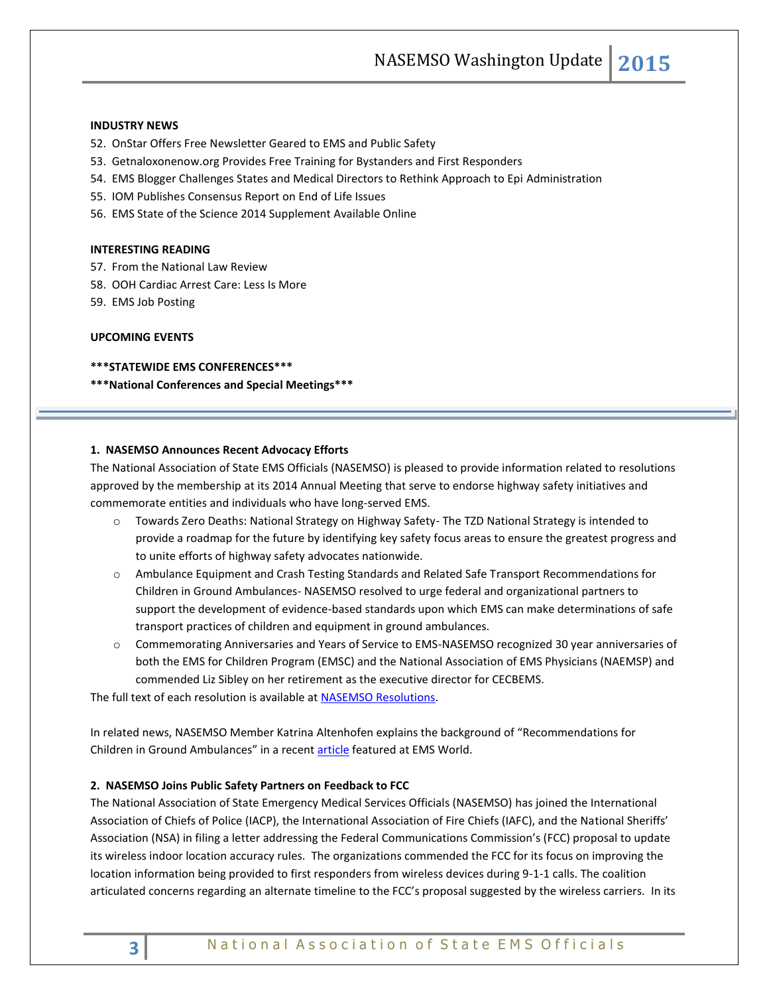NASEMSO Washington Update **2015**

## **INDUSTRY NEWS**

- 52. OnStar Offers Free Newsletter Geared to EMS and Public Safety
- 53. Getnaloxonenow.org Provides Free Training for Bystanders and First Responders
- 54. EMS Blogger Challenges States and Medical Directors to Rethink Approach to Epi Administration
- 55. IOM Publishes Consensus Report on End of Life Issues
- 56. EMS State of the Science 2014 Supplement Available Online

#### **INTERESTING READING**

- 57. From the National Law Review
- 58. OOH Cardiac Arrest Care: Less Is More
- 59. EMS Job Posting

#### **UPCOMING EVENTS**

#### **\*\*\*STATEWIDE EMS CONFERENCES\*\*\***

**\*\*\*National Conferences and Special Meetings\*\*\***

#### **1. NASEMSO Announces Recent Advocacy Efforts**

The National Association of State EMS Officials (NASEMSO) is pleased to provide information related to resolutions approved by the membership at its 2014 Annual Meeting that serve to endorse highway safety initiatives and commemorate entities and individuals who have long-served EMS.

- o Towards Zero Deaths: National Strategy on Highway Safety- The TZD National Strategy is intended to provide a roadmap for the future by identifying key safety focus areas to ensure the greatest progress and to unite efforts of highway safety advocates nationwide.
- o Ambulance Equipment and Crash Testing Standards and Related Safe Transport Recommendations for Children in Ground Ambulances- NASEMSO resolved to urge federal and organizational partners to support the development of evidence-based standards upon which EMS can make determinations of safe transport practices of children and equipment in ground ambulances.
- o Commemorating Anniversaries and Years of Service to EMS-NASEMSO recognized 30 year anniversaries of both the EMS for Children Program (EMSC) and the National Association of EMS Physicians (NAEMSP) and commended Liz Sibley on her retirement as the executive director for CECBEMS.

The full text of each resolution is available at **NASEMSO Resolutions**.

In related news, NASEMSO Member Katrina Altenhofen explains the background of "Recommendations for Children in Ground Ambulances" in a recent [article](http://www.emsworld.com/article/12006854/pediatric-ambulance-restraint-recommendations) featured at EMS World.

#### **2. NASEMSO Joins Public Safety Partners on Feedback to FCC**

The National Association of State Emergency Medical Services Officials (NASEMSO) has joined the International Association of Chiefs of Police (IACP), the International Association of Fire Chiefs (IAFC), and the National Sheriffs' Association (NSA) in filing a letter addressing the Federal Communications Commission's (FCC) proposal to update its wireless indoor location accuracy rules. The organizations commended the FCC for its focus on improving the location information being provided to first responders from wireless devices during 9-1-1 calls. The coalition articulated concerns regarding an alternate timeline to the FCC's proposal suggested by the wireless carriers. In its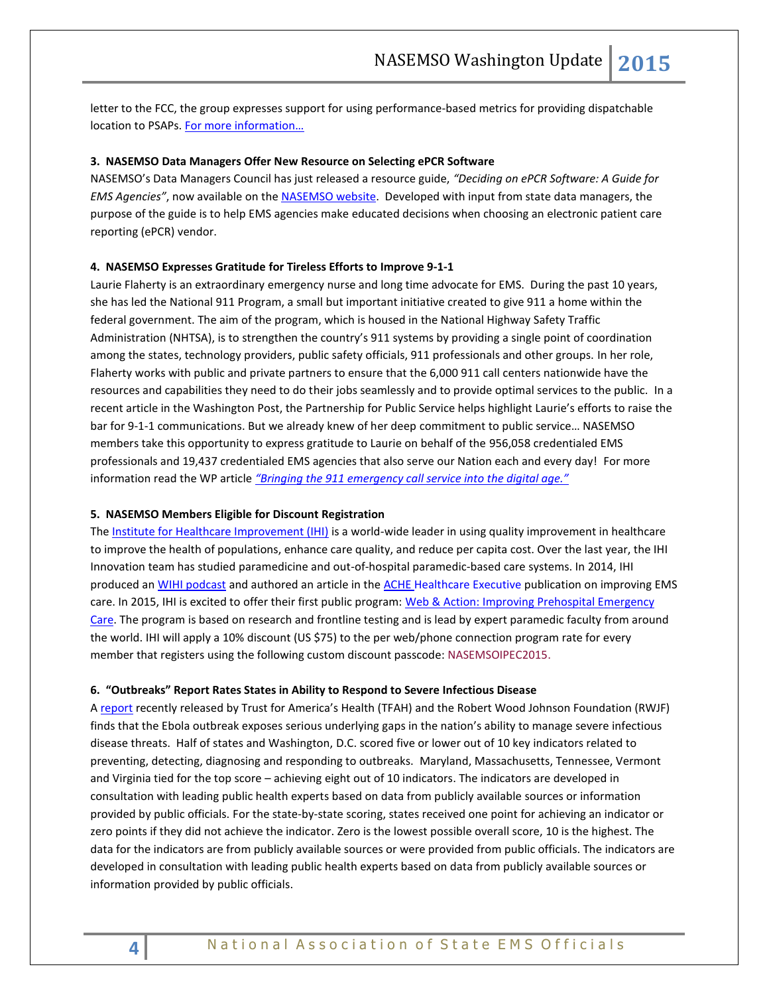letter to the FCC, the group expresses support for using performance-based metrics for providing dispatchable location to PSAPs. [For more information…](http://www.nasemso.org/Advocacy/Supported/index.asp)

## **3. NASEMSO Data Managers Offer New Resource on Selecting ePCR Software**

NASEMSO's Data Managers Council has just released a resource guide, *"Deciding on ePCR Software: A Guide for EMS Agencies"*, now available on the [NASEMSO website.](mailto:https://www.nasemso.org/Councils/DataManagers/documents/NASEMSO-Deciding-on-ePCR-Software-19Nov2014.pdf) Developed with input from state data managers, the purpose of the guide is to help EMS agencies make educated decisions when choosing an electronic patient care reporting (ePCR) vendor.

## **4. NASEMSO Expresses Gratitude for Tireless Efforts to Improve 9-1-1**

Laurie Flaherty is an extraordinary emergency nurse and long time advocate for EMS. During the past 10 years, she has led the National 911 Program, a small but important initiative created to give 911 a home within the federal government. The aim of the program, which is housed in the National Highway Safety Traffic Administration (NHTSA), is to strengthen the country's 911 systems by providing a single point of coordination among the states, technology providers, public safety officials, 911 professionals and other groups. In her role, Flaherty works with public and private partners to ensure that the 6,000 911 call centers nationwide have the resources and capabilities they need to do their jobs seamlessly and to provide optimal services to the public. In a recent article in the Washington Post, the Partnership for Public Service helps highlight Laurie's efforts to raise the bar for 9-1-1 communications. But we already knew of her deep commitment to public service… NASEMSO members take this opportunity to express gratitude to Laurie on behalf of the 956,058 credentialed EMS professionals and 19,437 credentialed EMS agencies that also serve our Nation each and every day! For more information read the WP article *["Bringing the 911 emergency call service into the digital age."](http://www.washingtonpost.com/politics/federal_government/bringing-the-911-emergency-call-service-into-the-digital-age/2014/12/02/e98d830c-7a34-11e4-84d4-7c896b90abdc_story.html)* 

#### **5. NASEMSO Members Eligible for Discount Registration**

The [Institute for Healthcare Improvement \(IHI\)](http://www.ihi.org/) is a world-wide leader in using quality improvement in healthcare to improve the health of populations, enhance care quality, and reduce per capita cost. Over the last year, the IHI Innovation team has studied paramedicine and out-of-hospital paramedic-based care systems. In 2014, IHI produced an [WIHI podcast](http://www.ihi.org/resources/Pages/AudioandVideo/WIHIContinuumofTimeSensitiveCare.aspx) and authored an article in the ACHE [Healthcare Executive](http://www.ihi.org/resources/Pages/Publications/EnhancingPrehospitalEmergencyCare.aspx) publication on improving EMS care. In 2015, IHI is excited to offer their first public program: [Web & Action: Improving Prehospital Emergency](http://www.ihi.org/education/WebTraining/Webinars/Web_Action/ImprovingPrehospitalEmergencyCare/Pages/default.aspx)  [Care.](http://www.ihi.org/education/WebTraining/Webinars/Web_Action/ImprovingPrehospitalEmergencyCare/Pages/default.aspx) The program is based on research and frontline testing and is lead by expert paramedic faculty from around the world. IHI will apply a 10% discount (US \$75) to the per web/phone connection program rate for every member that registers using the following custom discount passcode: NASEMSOIPEC2015.

#### **6. "Outbreaks" Report Rates States in Ability to Respond to Severe Infectious Disease**

A [report](http://healthyamericans.org/reports/outbreaks2014) recently released by Trust for America's Health (TFAH) and the Robert Wood Johnson Foundation (RWJF) finds that the Ebola outbreak exposes serious underlying gaps in the nation's ability to manage severe infectious disease threats. Half of states and Washington, D.C. scored five or lower out of 10 key indicators related to preventing, detecting, diagnosing and responding to outbreaks. Maryland, Massachusetts, Tennessee, Vermont and Virginia tied for the top score – achieving eight out of 10 indicators. The indicators are developed in consultation with leading public health experts based on data from publicly available sources or information provided by public officials. For the state-by-state scoring, states received one point for achieving an indicator or zero points if they did not achieve the indicator. Zero is the lowest possible overall score, 10 is the highest. The data for the indicators are from publicly available sources or were provided from public officials. The indicators are developed in consultation with leading public health experts based on data from publicly available sources or information provided by public officials.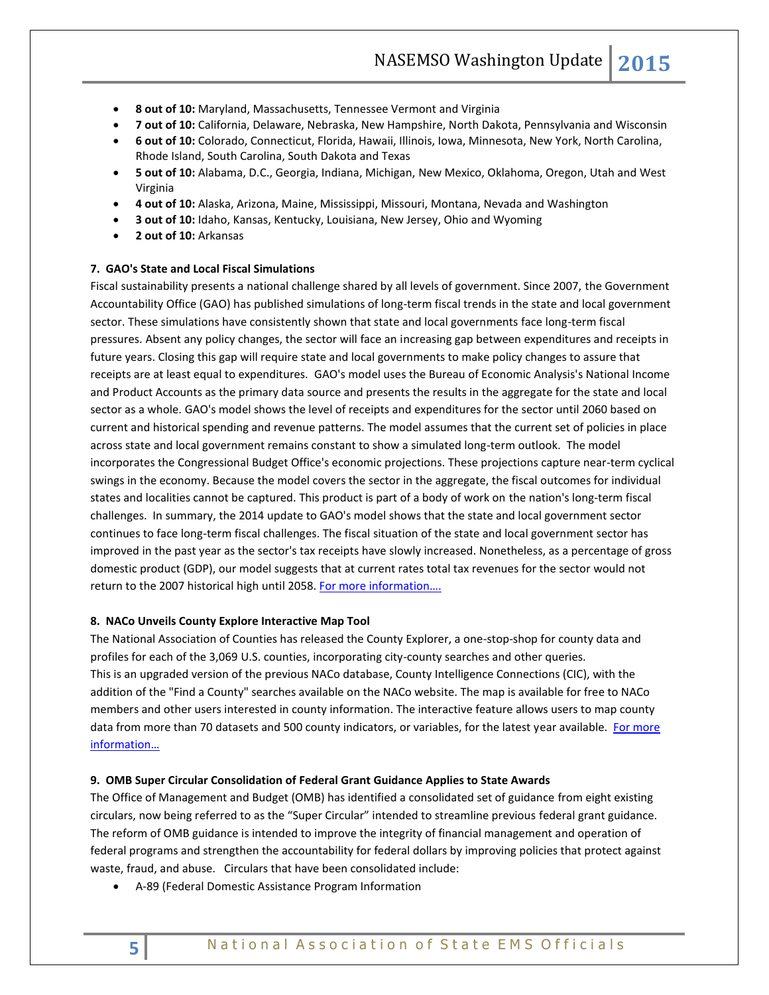- **8 out of 10:** Maryland, Massachusetts, Tennessee Vermont and Virginia
- **7 out of 10:** California, Delaware, Nebraska, New Hampshire, North Dakota, Pennsylvania and Wisconsin
- **6 out of 10:** Colorado, Connecticut, Florida, Hawaii, Illinois, Iowa, Minnesota, New York, North Carolina, Rhode Island, South Carolina, South Dakota and Texas
- **5 out of 10:** Alabama, D.C., Georgia, Indiana, Michigan, New Mexico, Oklahoma, Oregon, Utah and West Virginia
- **4 out of 10:** Alaska, Arizona, Maine, Mississippi, Missouri, Montana, Nevada and Washington
- **3 out of 10:** Idaho, Kansas, Kentucky, Louisiana, New Jersey, Ohio and Wyoming
- **2 out of 10:** Arkansas

#### **7. GAO's State and Local Fiscal Simulations**

Fiscal sustainability presents a national challenge shared by all levels of government. Since 2007, the Government Accountability Office (GAO) has published simulations of long-term fiscal trends in the state and local government sector. These simulations have consistently shown that state and local governments face long-term fiscal pressures. Absent any policy changes, the sector will face an increasing gap between expenditures and receipts in future years. Closing this gap will require state and local governments to make policy changes to assure that receipts are at least equal to expenditures. GAO's model uses the Bureau of Economic Analysis's National Income and Product Accounts as the primary data source and presents the results in the aggregate for the state and local sector as a whole. GAO's model shows the level of receipts and expenditures for the sector until 2060 based on current and historical spending and revenue patterns. The model assumes that the current set of policies in place across state and local government remains constant to show a simulated long-term outlook. The model incorporates the Congressional Budget Office's economic projections. These projections capture near-term cyclical swings in the economy. Because the model covers the sector in the aggregate, the fiscal outcomes for individual states and localities cannot be captured. This product is part of a body of work on the nation's long-term fiscal challenges. In summary, the 2014 update to GAO's model shows that the state and local government sector continues to face long-term fiscal challenges. The fiscal situation of the state and local government sector has improved in the past year as the sector's tax receipts have slowly increased. Nonetheless, as a percentage of gross domestic product (GDP), our model suggests that at current rates total tax revenues for the sector would not return to the 2007 historical high until 2058. For more information....

#### **8. NACo Unveils County Explore Interactive Map Tool**

The National Association of Counties has released the County Explorer, a one-stop-shop for county data and profiles for each of the 3,069 U.S. counties, incorporating city-county searches and other queries. This is an upgraded version of the previous NACo database, County Intelligence Connections (CIC), with the addition of the "Find a County" searches available on the NACo website. The map is available for free to NACo members and other users interested in county information. The interactive feature allows users to map county data from more than 70 datasets and 500 county indicators, or variables, for the latest year available. For more [information…](http://explorer.naco.org/)

#### **9. OMB Super Circular Consolidation of Federal Grant Guidance Applies to State Awards**

The Office of Management and Budget (OMB) has identified a consolidated set of guidance from eight existing circulars, now being referred to as the "Super Circular" intended to streamline previous federal grant guidance. The reform of OMB guidance is intended to improve the integrity of financial management and operation of federal programs and strengthen the accountability for federal dollars by improving policies that protect against waste, fraud, and abuse. Circulars that have been consolidated include:

A-89 (Federal Domestic Assistance Program Information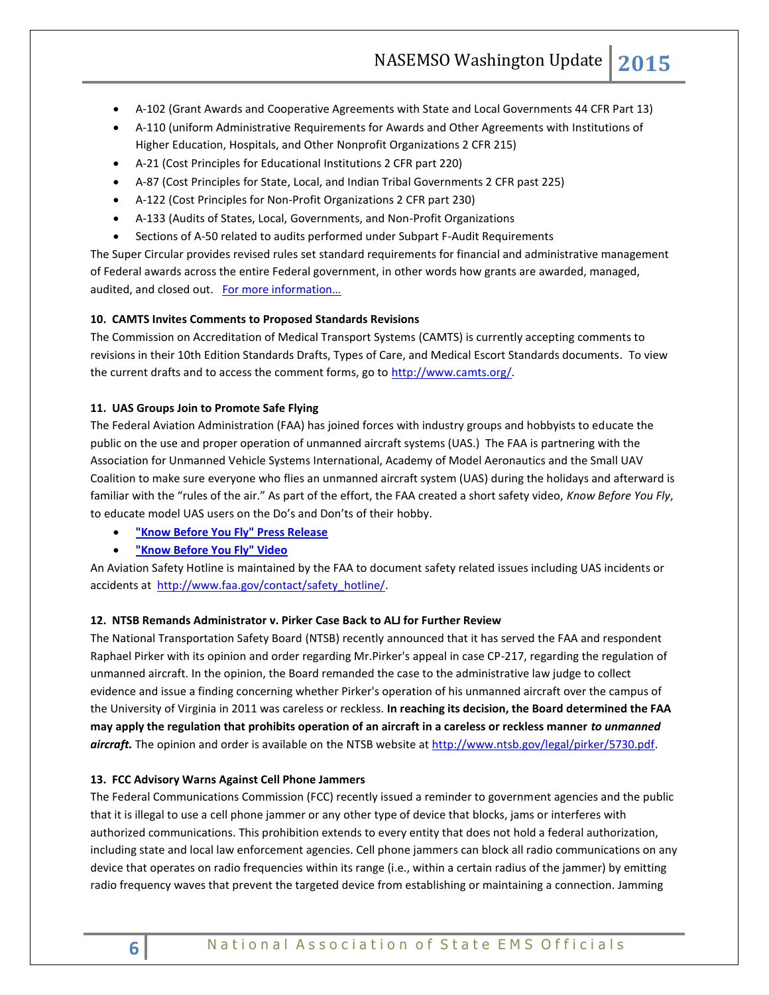- A-102 (Grant Awards and Cooperative Agreements with State and Local Governments 44 CFR Part 13)
- A-110 (uniform Administrative Requirements for Awards and Other Agreements with Institutions of Higher Education, Hospitals, and Other Nonprofit Organizations 2 CFR 215)
- A-21 (Cost Principles for Educational Institutions 2 CFR part 220)
- A-87 (Cost Principles for State, Local, and Indian Tribal Governments 2 CFR past 225)
- A-122 (Cost Principles for Non-Profit Organizations 2 CFR part 230)
- A-133 (Audits of States, Local, Governments, and Non-Profit Organizations
- Sections of A-50 related to audits performed under Subpart F-Audit Requirements

The Super Circular provides revised rules set standard requirements for financial and administrative management of Federal awards across the entire Federal government, in other words how grants are awarded, managed, audited, and closed out. For more information...

## **10. CAMTS Invites Comments to Proposed Standards Revisions**

The Commission on Accreditation of Medical Transport Systems (CAMTS) is currently accepting comments to revisions in their 10th Edition Standards Drafts, Types of Care, and Medical Escort Standards documents. To view the current drafts and to access the comment forms, go to http://www.camts.org/.

## **11. UAS Groups Join to Promote Safe Flying**

The Federal Aviation Administration (FAA) has joined forces with industry groups and hobbyists to educate the public on the use and proper operation of unmanned aircraft systems (UAS.) The FAA is partnering with the Association for Unmanned Vehicle Systems International, Academy of Model Aeronautics and the Small UAV Coalition to make sure everyone who flies an unmanned aircraft system (UAS) during the holidays and afterward is familiar with the "rules of the air." As part of the effort, the FAA created a short safety video, *Know Before You Fly*, to educate model UAS users on the Do's and Don'ts of their hobby.

- **["Know Before You Fly" Press Release](http://www.faa.gov/exit/?pageName=%26quot%3BKnow%20Before%20You%20Fly%26quot%3B%20Press%20Release&pgLnk=http%3A%2F%2Fwww%2Eknowbeforeyoufly%2Eorg%2F2014%2F12%2Fauvsi%2Dama%2Dsmall%2Duav%2Dcoalition%2Dand%2Dfaa%2Dlaunch%2Dknow%2Dbefore%2Dyou%2Dfly%2Dcampaign%2F)**
- **["Know Before You Fly" Video](http://www.faa.gov/exit/?pageName=%26quot%3BKnow%20Before%20You%20Fly%26quot%3B%20Video&pgLnk=http%3A%2F%2Fyoutu%2Ebe%2FXF5Q9JvBhxM%20)**

An Aviation Safety Hotline is maintained by the FAA to document safety related issues including UAS incidents or accidents at [http://www.faa.gov/contact/safety\\_hotline/.](http://www.faa.gov/contact/safety_hotline/)

## **12. NTSB Remands Administrator v. Pirker Case Back to ALJ for Further Review**

The National Transportation Safety Board (NTSB) recently announced that it has served the FAA and respondent Raphael Pirker with its opinion and order regarding Mr.Pirker's appeal in case CP-217, regarding the regulation of unmanned aircraft. In the opinion, the Board remanded the case to the administrative law judge to collect evidence and issue a finding concerning whether Pirker's operation of his unmanned aircraft over the campus of the University of Virginia in 2011 was careless or reckless. **In reaching its decision, the Board determined the FAA may apply the regulation that prohibits operation of an aircraft in a careless or reckless manner** *to unmanned aircraft.* The opinion and order is available on the NTSB website at [http://www.ntsb.gov/legal/pirker/5730.pdf.](https://www.ntsb.gov/legal/pirker/5730.pdf)

#### **13. FCC Advisory Warns Against Cell Phone Jammers**

The Federal Communications Commission (FCC) recently issued a reminder to government agencies and the public that it is illegal to use a cell phone jammer or any other type of device that blocks, jams or interferes with authorized communications. This prohibition extends to every entity that does not hold a federal authorization, including state and local law enforcement agencies. Cell phone jammers can block all radio communications on any device that operates on radio frequencies within its range (i.e., within a certain radius of the jammer) by emitting radio frequency waves that prevent the targeted device from establishing or maintaining a connection. Jamming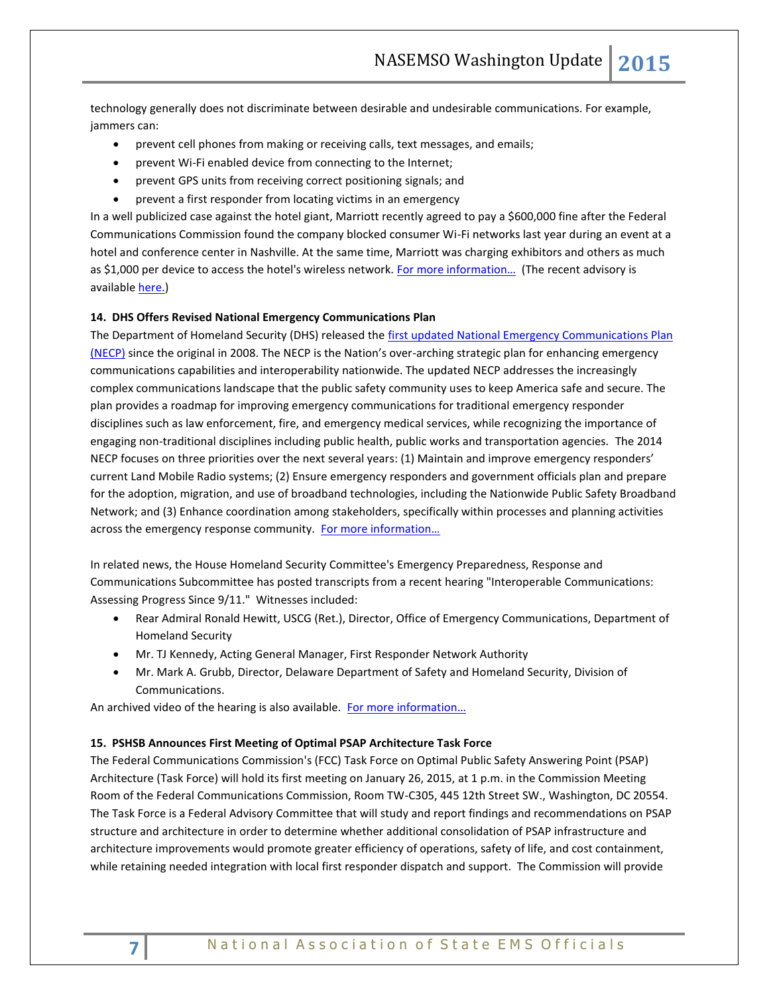technology generally does not discriminate between desirable and undesirable communications. For example, jammers can:

- prevent cell phones from making or receiving calls, text messages, and emails;
- prevent Wi-Fi enabled device from connecting to the Internet;
- prevent GPS units from receiving correct positioning signals; and
- prevent a first responder from locating victims in an emergency

In a well publicized case against the hotel giant, Marriott recently agreed to pay a \$600,000 fine after the Federal Communications Commission found the company blocked consumer Wi-Fi networks last year during an event at a hotel and conference center in Nashville. At the same time, Marriott was charging exhibitors and others as much as \$1,000 per device to access the hotel's wireless network. For more information... (The recent advisory is available [here.\)](http://transition.fcc.gov/Daily_Releases/Daily_Business/2014/db1208/DA-14-1785A1.pdf)

## **14. DHS Offers Revised National Emergency Communications Plan**

The Department of Homeland Security (DHS) released the [first updated National Emergency Communications Plan](http://www.dhs.gov/necp)  [\(NECP\)](http://www.dhs.gov/necp) since the original in 2008. The NECP is the Nation's over-arching strategic plan for enhancing emergency communications capabilities and interoperability nationwide. The updated NECP addresses the increasingly complex communications landscape that the public safety community uses to keep America safe and secure. The plan provides a roadmap for improving emergency communications for traditional emergency responder disciplines such as law enforcement, fire, and emergency medical services, while recognizing the importance of engaging non-traditional disciplines including public health, public works and transportation agencies. The 2014 NECP focuses on three priorities over the next several years: (1) Maintain and improve emergency responders' current Land Mobile Radio systems; (2) Ensure emergency responders and government officials plan and prepare for the adoption, migration, and use of broadband technologies, including the Nationwide Public Safety Broadband Network; and (3) Enhance coordination among stakeholders, specifically within processes and planning activities across the emergency response community. For more information...

In related news, the House Homeland Security Committee's Emergency Preparedness, Response and Communications Subcommittee has posted transcripts from a recent hearing "Interoperable Communications: Assessing Progress Since 9/11." Witnesses included:

- Rear Admiral Ronald Hewitt, USCG (Ret.), Director, Office of Emergency Communications, Department of Homeland Security
- Mr. TJ Kennedy, Acting General Manager, First Responder Network Authority
- Mr. Mark A. Grubb, Director, Delaware Department of Safety and Homeland Security, Division of Communications.

An archived video of the hearing is also available. [For more information](http://homeland.house.gov/hearing/subcommittee-hearing-interoperable-communications-assessing-progress-911)...

#### **15. PSHSB Announces First Meeting of Optimal PSAP Architecture Task Force**

The Federal Communications Commission's (FCC) Task Force on Optimal Public Safety Answering Point (PSAP) Architecture (Task Force) will hold its first meeting on January 26, 2015, at 1 p.m. in the Commission Meeting Room of the Federal Communications Commission, Room TW-C305, 445 12th Street SW., Washington, DC 20554. The Task Force is a Federal Advisory Committee that will study and report findings and recommendations on PSAP structure and architecture in order to determine whether additional consolidation of PSAP infrastructure and architecture improvements would promote greater efficiency of operations, safety of life, and cost containment, while retaining needed integration with local first responder dispatch and support. The Commission will provide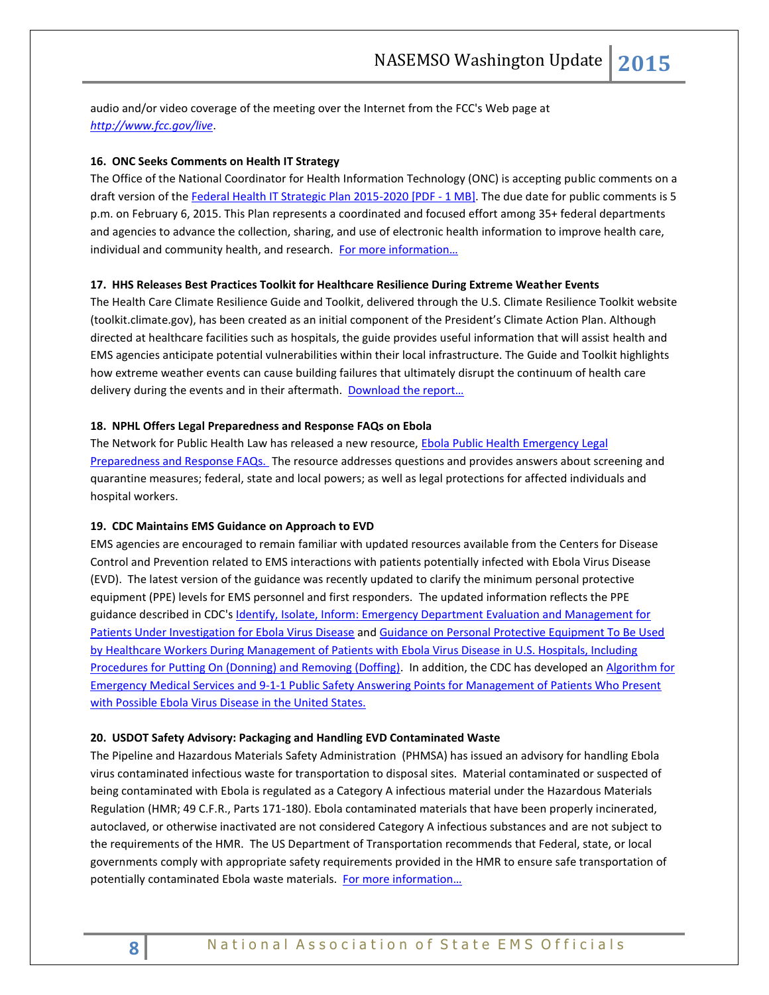audio and/or video coverage of the meeting over the Internet from the FCC's Web page at *<http://www.fcc.gov/live>*.

## **16. ONC Seeks Comments on Health IT Strategy**

The Office of the National Coordinator for Health Information Technology (ONC) is accepting public comments on a draft version of th[e Federal Health IT Strategic Plan 2015-2020 \[PDF -](http://www.healthit.gov/sites/default/files/federal-healthIT-strategic-plan-2014.pdf) 1 MB]. The due date for public comments is 5 p.m. on February 6, 2015. This Plan represents a coordinated and focused effort among 35+ federal departments and agencies to advance the collection, sharing, and use of electronic health information to improve health care, individual and community health, and research. For more information...

## **17. HHS Releases Best Practices Toolkit for Healthcare Resilience During Extreme Weather Events**

The Health Care Climate Resilience Guide and Toolkit, delivered through the U.S. Climate Resilience Toolkit website (toolkit.climate.gov), has been created as an initial component of the President's Climate Action Plan. Although directed at healthcare facilities such as hospitals, the guide provides useful information that will assist health and EMS agencies anticipate potential vulnerabilities within their local infrastructure. The Guide and Toolkit highlights how extreme weather events can cause building failures that ultimately disrupt the continuum of health care delivery during the events and in their aftermath. [Download the report…](http://toolkit.climate.gov/sites/default/files/SCRHCFI%20Best%20Practices%20Report%20final2%202014%20Web.pdf)

#### **18. NPHL Offers Legal Preparedness and Response FAQs on Ebola**

The Network for Public Health Law has released a new resource, [Ebola Public Health Emergency Legal](https://www.networkforphl.org/resources_collection/2014/11/04/513/faq_ebola_public_health_emergency_legal_preparedness_and_response)  [Preparedness and Response FAQs.](https://www.networkforphl.org/resources_collection/2014/11/04/513/faq_ebola_public_health_emergency_legal_preparedness_and_response) The resource addresses questions and provides answers about screening and quarantine measures; federal, state and local powers; as well as legal protections for affected individuals and hospital workers.

## **19. CDC Maintains EMS Guidance on Approach to EVD**

EMS agencies are encouraged to remain familiar with updated resources available from the Centers for Disease Control and Prevention related to EMS interactions with patients potentially infected with Ebola Virus Disease (EVD). The latest version of the guidance was recently updated to clarify the minimum personal protective equipment (PPE) levels for EMS personnel and first responders. The updated information reflects the PPE guidance described in CDC's *Identify, Isolate, Inform: Emergency Department Evaluation and Management for* [Patients Under Investigation for Ebola Virus Disease](http://www.cdc.gov/vhf/ebola/hcp/ed-management-patients-possible-ebola.html) and [Guidance on Personal Protective Equipment To Be Used](http://www.cdc.gov/vhf/ebola/hcp/procedures-for-ppe.html)  [by Healthcare Workers During Management of Patients with Ebola Virus Disease in U.S. Hospitals, Including](http://www.cdc.gov/vhf/ebola/hcp/procedures-for-ppe.html)  [Procedures for Putting On \(Donning\) and Removing \(Doffing\).](http://www.cdc.gov/vhf/ebola/hcp/procedures-for-ppe.html) In addition, the CDC has developed an [Algorithm for](http://www.cdc.gov/vhf/ebola/pdf/ems-911-patients-with-possible-ebola.pdf)  [Emergency Medical Services and 9-1-1 Public Safety Answering Points for Management of Patients Who Present](http://www.cdc.gov/vhf/ebola/pdf/ems-911-patients-with-possible-ebola.pdf)  [with Possible Ebola Virus Disease in the United States.](http://www.cdc.gov/vhf/ebola/pdf/ems-911-patients-with-possible-ebola.pdf)

#### **20. USDOT Safety Advisory: Packaging and Handling EVD Contaminated Waste**

The Pipeline and Hazardous Materials Safety Administration (PHMSA) has issued an advisory for handling Ebola virus contaminated infectious waste for transportation to disposal sites. Material contaminated or suspected of being contaminated with Ebola is regulated as a Category A infectious material under the Hazardous Materials Regulation (HMR; 49 C.F.R., Parts 171-180). Ebola contaminated materials that have been properly incinerated, autoclaved, or otherwise inactivated are not considered Category A infectious substances and are not subject to the requirements of the HMR. The US Department of Transportation recommends that Federal, state, or local governments comply with appropriate safety requirements provided in the HMR to ensure safe transportation of potentially contaminated Ebola waste materials. [For more information…](http://phmsa.dot.gov/pv_obj_cache/pv_obj_id_CA032C97BEEB7978BFDD83ACF8991F28CAE20000/filename/ebola_sa.pdf)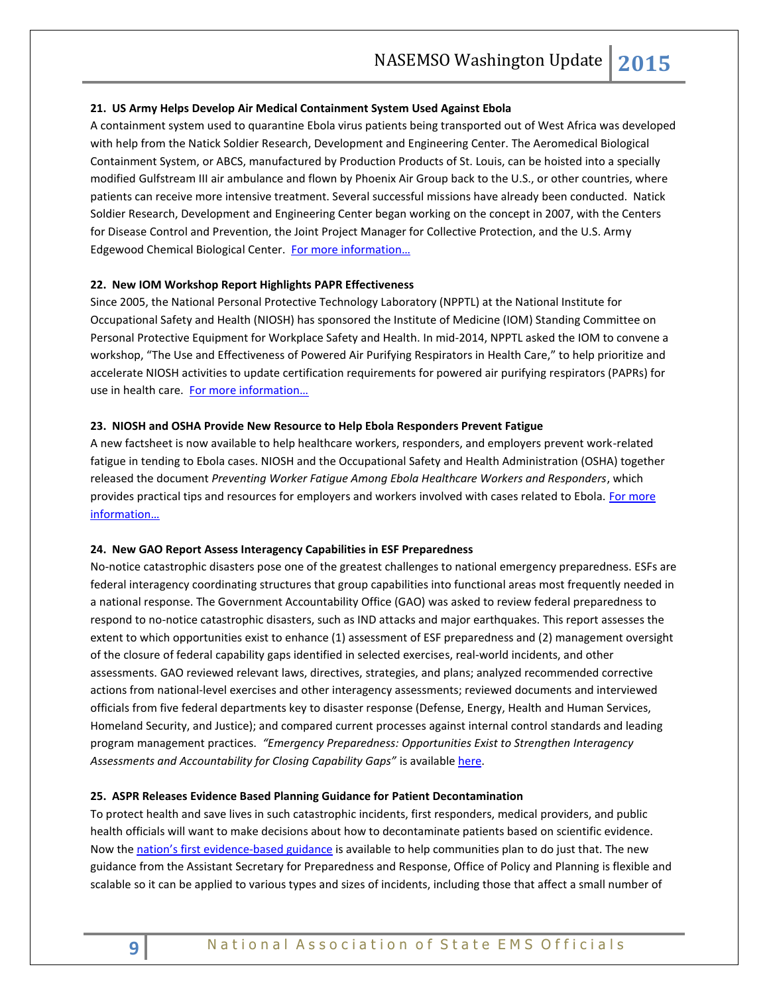## **21. US Army Helps Develop Air Medical Containment System Used Against Ebola**

A containment system used to quarantine Ebola virus patients being transported out of West Africa was developed with help from the Natick Soldier Research, Development and Engineering Center. The Aeromedical Biological Containment System, or ABCS, manufactured by Production Products of St. Louis, can be hoisted into a specially modified Gulfstream III air ambulance and flown by Phoenix Air Group back to the U.S., or other countries, where patients can receive more intensive treatment. Several successful missions have already been conducted. Natick Soldier Research, Development and Engineering Center began working on the concept in 2007, with the Centers for Disease Control and Prevention, the Joint Project Manager for Collective Protection, and the U.S. Army Edgewood Chemical Biological Center. For more information...

#### **22. New IOM Workshop Report Highlights PAPR Effectiveness**

Since 2005, the National Personal Protective Technology Laboratory (NPPTL) at the National Institute for Occupational Safety and Health (NIOSH) has sponsored the Institute of Medicine (IOM) Standing Committee on Personal Protective Equipment for Workplace Safety and Health. In mid-2014, NPPTL asked the IOM to convene a workshop, "The Use and Effectiveness of Powered Air Purifying Respirators in Health Care," to help prioritize and accelerate NIOSH activities to update certification requirements for powered air purifying respirators (PAPRs) for use in health care. [For more information…](http://www.iom.edu/Reports/2015/Use-And-Effectiveness-of-Powered-Air-Purifying-Respirators-in-Health-Care.aspx)

## **23. NIOSH and OSHA Provide New Resource to Help Ebola Responders Prevent Fatigue**

A new factsheet is now available to help healthcare workers, responders, and employers prevent work-related fatigue in tending to Ebola cases. NIOSH and the Occupational Safety and Health Administration (OSHA) together released the document *Preventing Worker Fatigue Among Ebola Healthcare Workers and Responders*, which provides practical tips and resources for employers and workers involved with cases related to Ebola. For more [information…](http://www.cdc.gov/niosh/topics/ebola/pdfs/preventingworkerfatigue%20amongebolahcw122914.pdf)

#### **24. New GAO Report Assess Interagency Capabilities in ESF Preparedness**

No-notice catastrophic disasters pose one of the greatest challenges to national emergency preparedness. ESFs are federal interagency coordinating structures that group capabilities into functional areas most frequently needed in a national response. The Government Accountability Office (GAO) was asked to review federal preparedness to respond to no-notice catastrophic disasters, such as IND attacks and major earthquakes. This report assesses the extent to which opportunities exist to enhance (1) assessment of ESF preparedness and (2) management oversight of the closure of federal capability gaps identified in selected exercises, real-world incidents, and other assessments. GAO reviewed relevant laws, directives, strategies, and plans; analyzed recommended corrective actions from national-level exercises and other interagency assessments; reviewed documents and interviewed officials from five federal departments key to disaster response (Defense, Energy, Health and Human Services, Homeland Security, and Justice); and compared current processes against internal control standards and leading program management practices. *"Emergency Preparedness: Opportunities Exist to Strengthen Interagency*  Assessments and Accountability for Closing Capability Gaps" is available [here.](http://www.gao.gov/products/GAO-15-20)

#### **25. ASPR Releases Evidence Based Planning Guidance for Patient Decontamination**

To protect health and save lives in such catastrophic incidents, first responders, medical providers, and public health officials will want to make decisions about how to decontaminate patients based on scientific evidence. Now the nation's [first evidence-based guidance](http://www.phe.gov/Preparedness/responders/Pages/patientdecon.aspx) is available to help communities plan to do just that. The new guidance from the Assistant Secretary for Preparedness and Response, Office of Policy and Planning is flexible and scalable so it can be applied to various types and sizes of incidents, including those that affect a small number of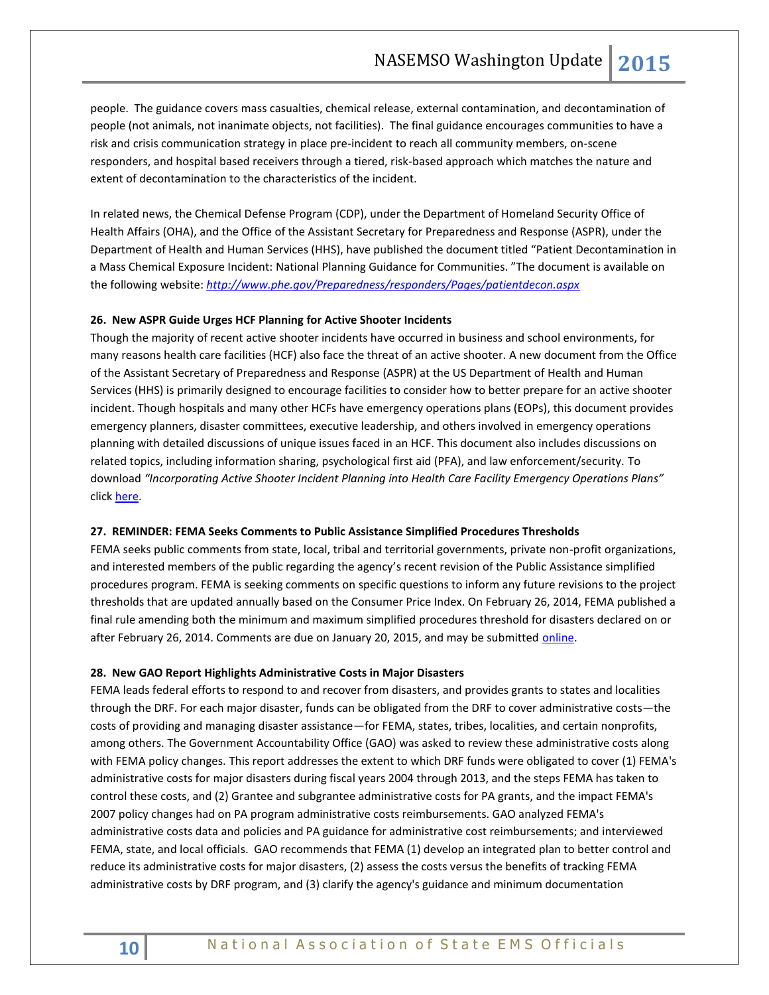people. The guidance covers mass casualties, chemical release, external contamination, and decontamination of people (not animals, not inanimate objects, not facilities). The final guidance encourages communities to have a risk and crisis communication strategy in place pre-incident to reach all community members, on-scene responders, and hospital based receivers through a tiered, risk-based approach which matches the nature and extent of decontamination to the characteristics of the incident.

In related news, the Chemical Defense Program (CDP), under the Department of Homeland Security Office of Health Affairs (OHA), and the Office of the Assistant Secretary for Preparedness and Response (ASPR), under the Department of Health and Human Services (HHS), have published the document titled "Patient Decontamination in a Mass Chemical Exposure Incident: National Planning Guidance for Communities. "The document is available on the following website: *<http://www.phe.gov/Preparedness/responders/Pages/patientdecon.aspx>*

## **26. New ASPR Guide Urges HCF Planning for Active Shooter Incidents**

Though the majority of recent active shooter incidents have occurred in business and school environments, for many reasons health care facilities (HCF) also face the threat of an active shooter. A new document from the Office of the Assistant Secretary of Preparedness and Response (ASPR) at the US Department of Health and Human Services (HHS) is primarily designed to encourage facilities to consider how to better prepare for an active shooter incident. Though hospitals and many other HCFs have emergency operations plans (EOPs), this document provides emergency planners, disaster committees, executive leadership, and others involved in emergency operations planning with detailed discussions of unique issues faced in an HCF. This document also includes discussions on related topics, including information sharing, psychological first aid (PFA), and law enforcement/security. To download *"Incorporating Active Shooter Incident Planning into Health Care Facility Emergency Operations Plans"* click [here.](http://www.phe.gov/Preparedness/planning/Documents/active-shooter-planning-eop2014.pdf)

#### **27. REMINDER: FEMA Seeks Comments to Public Assistance Simplified Procedures Thresholds**

FEMA seeks public comments from state, local, tribal and territorial governments, private non-profit organizations, and interested members of the public regarding the agency's recent revision of the Public Assistance simplified procedures program. FEMA is seeking comments on specific questions to inform any future revisions to the project thresholds that are updated annually based on the Consumer Price Index. On February 26, 2014, FEMA published a final rule amending both the minimum and maximum simplified procedures threshold for disasters declared on or after February 26, 2014. Comments are due on January 20, 2015, and may be submitted [online.](http://www.regulations.gov/#!docketDetail;D=FEMA-2014-0009)

#### **28. New GAO Report Highlights Administrative Costs in Major Disasters**

FEMA leads federal efforts to respond to and recover from disasters, and provides grants to states and localities through the DRF. For each major disaster, funds can be obligated from the DRF to cover administrative costs—the costs of providing and managing disaster assistance—for FEMA, states, tribes, localities, and certain nonprofits, among others. The Government Accountability Office (GAO) was asked to review these administrative costs along with FEMA policy changes. This report addresses the extent to which DRF funds were obligated to cover (1) FEMA's administrative costs for major disasters during fiscal years 2004 through 2013, and the steps FEMA has taken to control these costs, and (2) Grantee and subgrantee administrative costs for PA grants, and the impact FEMA's 2007 policy changes had on PA program administrative costs reimbursements. GAO analyzed FEMA's administrative costs data and policies and PA guidance for administrative cost reimbursements; and interviewed FEMA, state, and local officials. GAO recommends that FEMA (1) develop an integrated plan to better control and reduce its administrative costs for major disasters, (2) assess the costs versus the benefits of tracking FEMA administrative costs by DRF program, and (3) clarify the agency's guidance and minimum documentation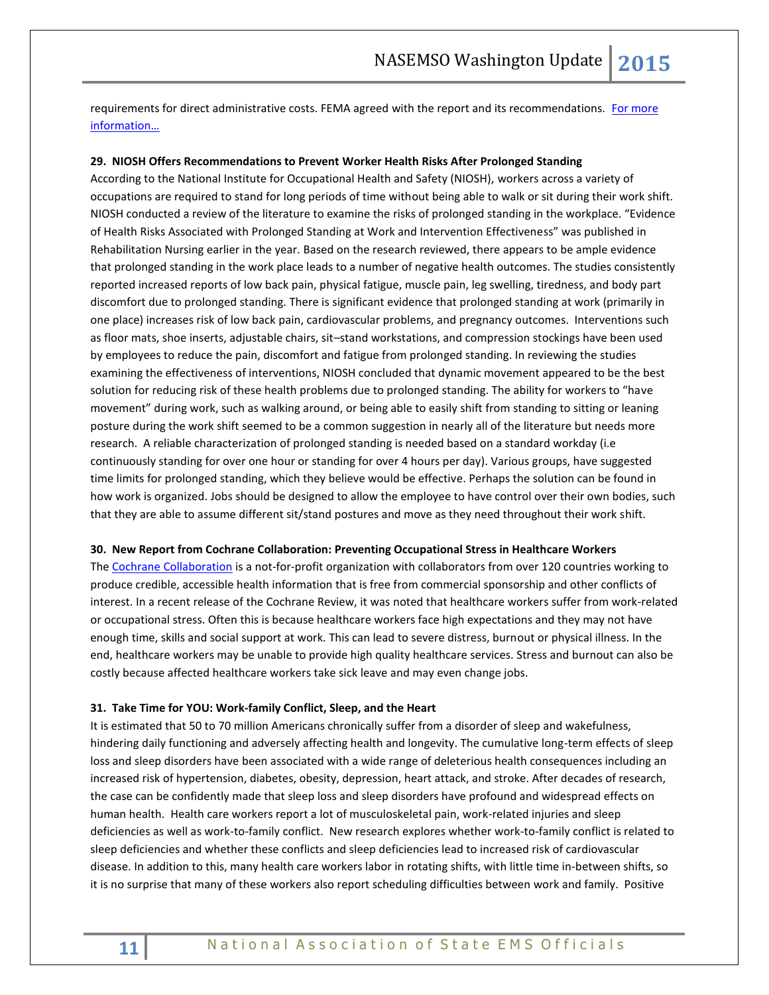requirements for direct administrative costs. FEMA agreed with the report and its recommendations. For more [information…](http://www.gao.gov/products/GAO-15-65)

#### **29. NIOSH Offers Recommendations to Prevent Worker Health Risks After Prolonged Standing**

According to the National Institute for Occupational Health and Safety (NIOSH), workers across a variety of occupations are required to stand for long periods of time without being able to walk or sit during their work shift. NIOSH conducted a review of the literature to examine the risks of prolonged standing in the workplace. "Evidence of Health Risks Associated with Prolonged Standing at Work and Intervention Effectiveness" was published in Rehabilitation Nursing earlier in the year. Based on the research reviewed, there appears to be ample evidence that prolonged standing in the work place leads to a number of negative health outcomes. The studies consistently reported increased reports of low back pain, physical fatigue, muscle pain, leg swelling, tiredness, and body part discomfort due to prolonged standing. There is significant evidence that prolonged standing at work (primarily in one place) increases risk of low back pain, cardiovascular problems, and pregnancy outcomes. Interventions such as floor mats, shoe inserts, adjustable chairs, sit–stand workstations, and compression stockings have been used by employees to reduce the pain, discomfort and fatigue from prolonged standing. In reviewing the studies examining the effectiveness of interventions, NIOSH concluded that dynamic movement appeared to be the best solution for reducing risk of these health problems due to prolonged standing. The ability for workers to "have movement" during work, such as walking around, or being able to easily shift from standing to sitting or leaning posture during the work shift seemed to be a common suggestion in nearly all of the literature but needs more research. A reliable characterization of prolonged standing is needed based on a standard workday (i.e continuously standing for over one hour or standing for over 4 hours per day). Various groups, have suggested time limits for prolonged standing, which they believe would be effective. Perhaps the solution can be found in how work is organized. Jobs should be designed to allow the employee to have control over their own bodies, such that they are able to assume different sit/stand postures and move as they need throughout their work shift.

#### **30. New Report from Cochrane Collaboration: Preventing Occupational Stress in Healthcare Workers**

Th[e Cochrane Collaboration](http://www.cochrane.org/about-us) is a not-for-profit organization with collaborators from over 120 countries working to produce credible, accessible health information that is free from commercial sponsorship and other conflicts of interest. In a recent release of the Cochrane Review, it was noted that healthcare workers suffer from work-related or occupational stress. Often this is because healthcare workers face high expectations and they may not have enough time, skills and social support at work. This can lead to severe distress, burnout or physical illness. In the end, healthcare workers may be unable to provide high quality healthcare services. Stress and burnout can also be costly because affected healthcare workers take sick leave and may even change jobs.

#### **31. Take Time for YOU: Work-family Conflict, Sleep, and the Heart**

It is estimated that 50 to 70 million Americans chronically suffer from a disorder of sleep and wakefulness, hindering daily functioning and adversely affecting health and longevity. The cumulative long-term effects of sleep loss and sleep disorders have been associated with a wide range of deleterious health consequences including an increased risk of hypertension, diabetes, obesity, depression, heart attack, and stroke. After decades of research, the case can be confidently made that sleep loss and sleep disorders have profound and widespread effects on human health. Health care workers report a lot of musculoskeletal pain, work-related injuries and sleep deficiencies as well as work-to-family conflict. New research explores whether work-to-family conflict is related to sleep deficiencies and whether these conflicts and sleep deficiencies lead to increased risk of cardiovascular disease. In addition to this, many health care workers labor in rotating shifts, with little time in-between shifts, so it is no surprise that many of these workers also report scheduling difficulties between work and family. Positive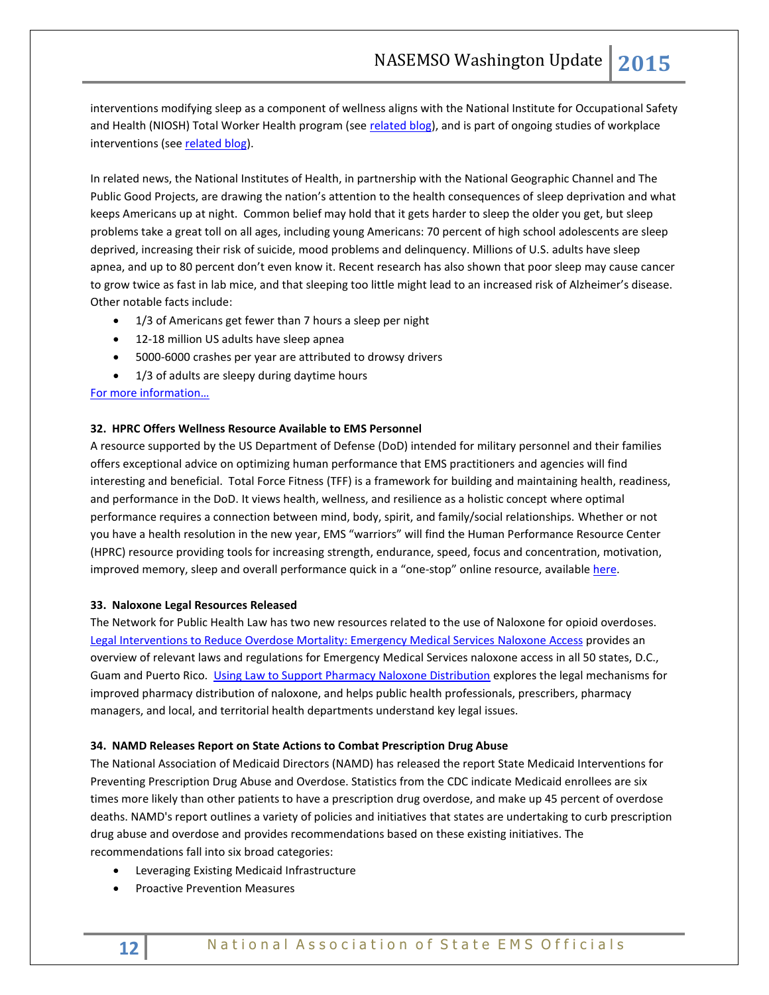interventions modifying sleep as a component of wellness aligns with the National Institute for Occupational Safety and Health (NIOSH) Total Worker Health program (see [related blog\)](http://blogs.cdc.gov/niosh-science-blog/2012/03/08/sleep-and-work), and is part of ongoing studies of workplace interventions (se[e related blog\)](http://blogs.cdc.gov/niosh-science-blog/2012/03/09/sleep/).

In related news, the National Institutes of Health, in partnership with the National Geographic Channel and The Public Good Projects, are drawing the nation's attention to the health consequences of sleep deprivation and what keeps Americans up at night. Common belief may hold that it gets harder to sleep the older you get, but sleep problems take a great toll on all ages, including young Americans: 70 percent of high school adolescents are sleep deprived, increasing their risk of suicide, mood problems and delinquency. Millions of U.S. adults have sleep apnea, and up to 80 percent don't even know it. Recent research has also shown that poor sleep may cause cancer to grow twice as fast in lab mice, and that sleeping too little might lead to an increased risk of Alzheimer's disease. Other notable facts include:

- 1/3 of Americans get fewer than 7 hours a sleep per night
- 12-18 million US adults have sleep apnea
- 5000-6000 crashes per year are attributed to drowsy drivers
- 1/3 of adults are sleepy during daytime hours

[For more information…](http://www.nih.gov/health/NIHandSleeplessinAmerica/)

## **32. HPRC Offers Wellness Resource Available to EMS Personnel**

A resource supported by the US Department of Defense (DoD) intended for military personnel and their families offers exceptional advice on optimizing human performance that EMS practitioners and agencies will find interesting and beneficial. Total Force Fitness (TFF) is a framework for building and maintaining health, readiness, and performance in the DoD. It views health, wellness, and resilience as a holistic concept where optimal performance requires a connection between mind, body, spirit, and family/social relationships. Whether or not you have a health resolution in the new year, EMS "warriors" will find the Human Performance Resource Center (HPRC) resource providing tools for increasing strength, endurance, speed, focus and concentration, motivation, improved memory, sleep and overall performance quick in a "one-stop" online resource, available [here.](http://hprc-online.org/)

## **33. Naloxone Legal Resources Released**

The Network for Public Health Law has two new resources related to the use of Naloxone for opioid overdoses. [Legal Interventions to Reduce Overdose Mortality: Emergency Medical Services Naloxone](https://www.networkforphl.org/_asset/8b7kmi/EMS-naloxone-overview.pdf) Access provides an overview of relevant laws and regulations for Emergency Medical Services naloxone access in all 50 states, D.C., Guam and Puerto Rico. [Using Law to Support Pharmacy Naloxone Distribution](https://www.networkforphl.org/_asset/qdkn97/Pharmacy-Naloxone-Distributions.pdf) explores the legal mechanisms for improved pharmacy distribution of naloxone, and helps public health professionals, prescribers, pharmacy managers, and local, and territorial health departments understand key legal issues.

#### **34. NAMD Releases Report on State Actions to Combat Prescription Drug Abuse**

The National Association of Medicaid Directors (NAMD) has released the report State Medicaid Interventions for Preventing Prescription Drug Abuse and Overdose. Statistics from the CDC indicate Medicaid enrollees are six times more likely than other patients to have a prescription drug overdose, and make up 45 percent of overdose deaths. NAMD's report outlines a variety of policies and initiatives that states are undertaking to curb prescription drug abuse and overdose and provides recommendations based on these existing initiatives. The recommendations fall into six broad categories:

- Leveraging Existing Medicaid Infrastructure
- Proactive Prevention Measures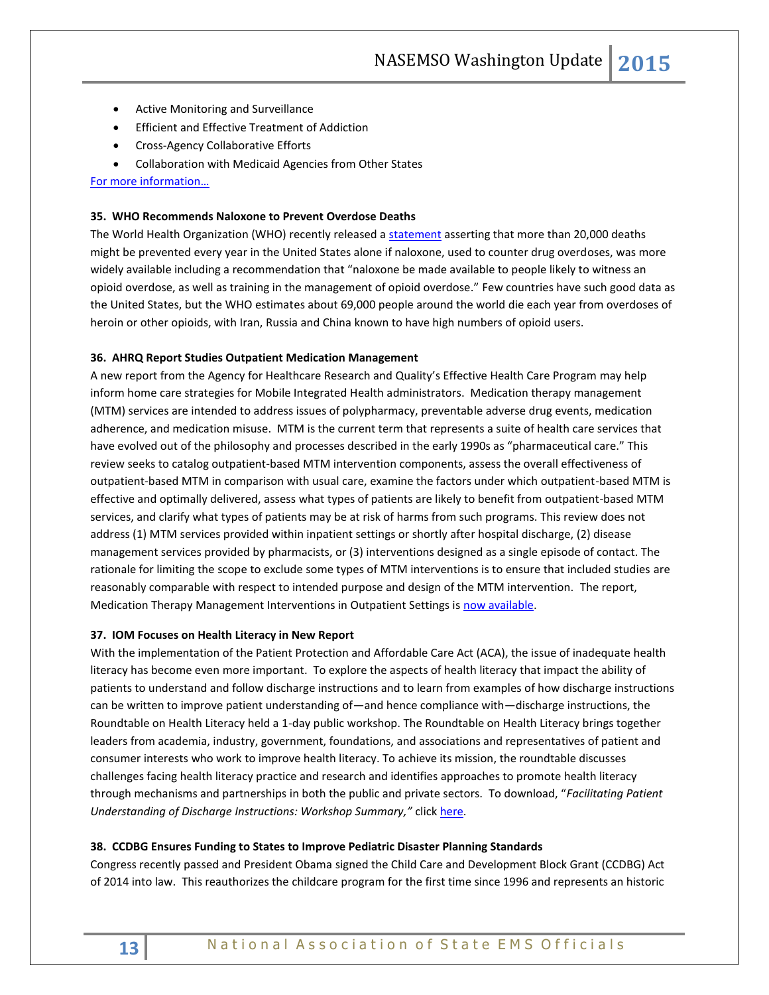- Active Monitoring and Surveillance
- Efficient and Effective Treatment of Addiction
- Cross-Agency Collaborative Efforts
- Collaboration with Medicaid Agencies from Other States

[For more information…](http://medicaiddirectors.org/node/1071)

## **35. WHO Recommends Naloxone to Prevent Overdose Deaths**

The World Health Organization (WHO) recently released [a statement](http://www.who.int/substance_abuse/information-sheet/en/) asserting that more than 20,000 deaths might be prevented every year in the United States alone if naloxone, used to counter drug overdoses, was more widely available including a recommendation that "naloxone be made available to people likely to witness an opioid overdose, as well as training in the management of opioid overdose." Few countries have such good data as the United States, but the WHO estimates about 69,000 people around the world die each year from overdoses of heroin or other opioids, with Iran, Russia and China known to have high numbers of opioid users.

#### **36. AHRQ Report Studies Outpatient Medication Management**

A new report from the Agency for Healthcare Research and Quality's Effective Health Care Program may help inform home care strategies for Mobile Integrated Health administrators. Medication therapy management (MTM) services are intended to address issues of polypharmacy, preventable adverse drug events, medication adherence, and medication misuse. MTM is the current term that represents a suite of health care services that have evolved out of the philosophy and processes described in the early 1990s as "pharmaceutical care." This review seeks to catalog outpatient-based MTM intervention components, assess the overall effectiveness of outpatient-based MTM in comparison with usual care, examine the factors under which outpatient-based MTM is effective and optimally delivered, assess what types of patients are likely to benefit from outpatient-based MTM services, and clarify what types of patients may be at risk of harms from such programs. This review does not address (1) MTM services provided within inpatient settings or shortly after hospital discharge, (2) disease management services provided by pharmacists, or (3) interventions designed as a single episode of contact. The rationale for limiting the scope to exclude some types of MTM interventions is to ensure that included studies are reasonably comparable with respect to intended purpose and design of the MTM intervention. The report, Medication Therapy Management Interventions in Outpatient Settings is [now available.](http://www.effectivehealthcare.ahrq.gov/ehc/products/516/2002/medication-therapy-management-report-141114.pdf)

## **37. IOM Focuses on Health Literacy in New Report**

With the implementation of the Patient Protection and Affordable Care Act (ACA), the issue of inadequate health literacy has become even more important. To explore the aspects of health literacy that impact the ability of patients to understand and follow discharge instructions and to learn from examples of how discharge instructions can be written to improve patient understanding of—and hence compliance with—discharge instructions, the Roundtable on Health Literacy held a 1-day public workshop. The Roundtable on Health Literacy brings together leaders from academia, industry, government, foundations, and associations and representatives of patient and consumer interests who work to improve health literacy. To achieve its mission, the roundtable discusses challenges facing health literacy practice and research and identifies approaches to promote health literacy through mechanisms and partnerships in both the public and private sectors. To download, "*Facilitating Patient Understanding of Discharge Instructions: Workshop Summary,"* clic[k here.](http://www.iom.edu/Reports/2014/Facilitating-Patient-Understanding-of-Discharge-Instructions.aspx)

## **38. CCDBG Ensures Funding to States to Improve Pediatric Disaster Planning Standards**

Congress recently passed and President Obama signed the Child Care and Development Block Grant (CCDBG) Act of 2014 into law. This reauthorizes the childcare program for the first time since 1996 and represents an historic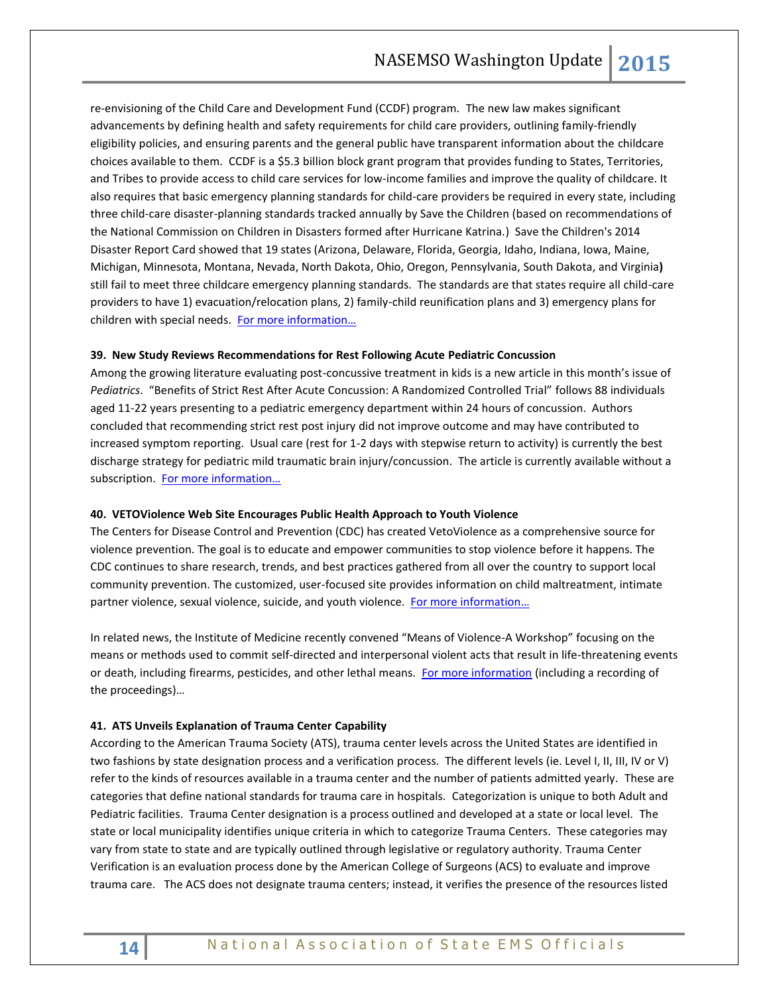re-envisioning of the Child Care and Development Fund (CCDF) program. The new law makes significant advancements by defining health and safety requirements for child care providers, outlining family-friendly eligibility policies, and ensuring parents and the general public have transparent information about the childcare choices available to them. CCDF is a \$5.3 billion block grant program that provides funding to States, Territories, and Tribes to provide access to child care services for low-income families and improve the quality of childcare. It also requires that basic emergency planning standards for child-care providers be required in every state, including three child-care disaster-planning standards tracked annually by Save the Children (based on recommendations of the National Commission on Children in Disasters formed after Hurricane Katrina.) Save the Children's 2014 Disaster Report Card showed that 19 states (Arizona, Delaware, Florida, Georgia, Idaho, Indiana, Iowa, Maine, Michigan, Minnesota, Montana, Nevada, North Dakota, Ohio, Oregon, Pennsylvania, South Dakota, and Virginia**)**  still fail to meet three childcare emergency planning standards. The standards are that states require all child-care providers to have 1) evacuation/relocation plans, 2) family-child reunification plans and 3) emergency plans for children with special needs. [For more information…](http://www.acf.hhs.gov/programs/occ/ccdf-reauthorization)

#### **39. New Study Reviews Recommendations for Rest Following Acute Pediatric Concussion**

Among the growing literature evaluating post-concussive treatment in kids is a new article in this month's issue of *Pediatrics*. "Benefits of Strict Rest After Acute Concussion: A Randomized Controlled Trial" follows 88 individuals aged 11-22 years presenting to a pediatric emergency department within 24 hours of concussion. Authors concluded that recommending strict rest post injury did not improve outcome and may have contributed to increased symptom reporting. Usual care (rest for 1-2 days with stepwise return to activity) is currently the best discharge strategy for pediatric mild traumatic brain injury/concussion. The article is currently available without a subscription. For more information...

#### **40. VETOViolence Web Site Encourages Public Health Approach to Youth Violence**

The Centers for Disease Control and Prevention (CDC) has created VetoViolence as a comprehensive source for violence prevention. The goal is to educate and empower communities to stop violence before it happens. The CDC continues to share research, trends, and best practices gathered from all over the country to support local community prevention. The customized, user-focused site provides information on child maltreatment, intimate partner violence, sexual violence, suicide, and youth violence. [For more information…](http://vetoviolence.cdc.gov/)

In related news, the Institute of Medicine recently convened "Means of Violence-A Workshop" focusing on the means or methods used to commit self-directed and interpersonal violent acts that result in life-threatening events or death, including firearms, pesticides, and other lethal means. [For more information](http://www.iom.edu/Activities/Global/ViolenceForum/2014-DEC-18.aspx) (including a recording of the proceedings)…

#### **41. ATS Unveils Explanation of Trauma Center Capability**

According to the American Trauma Society (ATS), trauma center levels across the United States are identified in two fashions by state designation process and a verification process. The different levels (ie. Level I, II, III, IV or V) refer to the kinds of resources available in a trauma center and the number of patients admitted yearly. These are categories that define national standards for trauma care in hospitals. Categorization is unique to both Adult and Pediatric facilities. Trauma Center designation is a process outlined and developed at a state or local level. The state or local municipality identifies unique criteria in which to categorize Trauma Centers. These categories may vary from state to state and are typically outlined through legislative or regulatory authority. Trauma Center Verification is an evaluation process done by the American College of Surgeons (ACS) to evaluate and improve trauma care. The ACS does not designate trauma centers; instead, it verifies the presence of the resources listed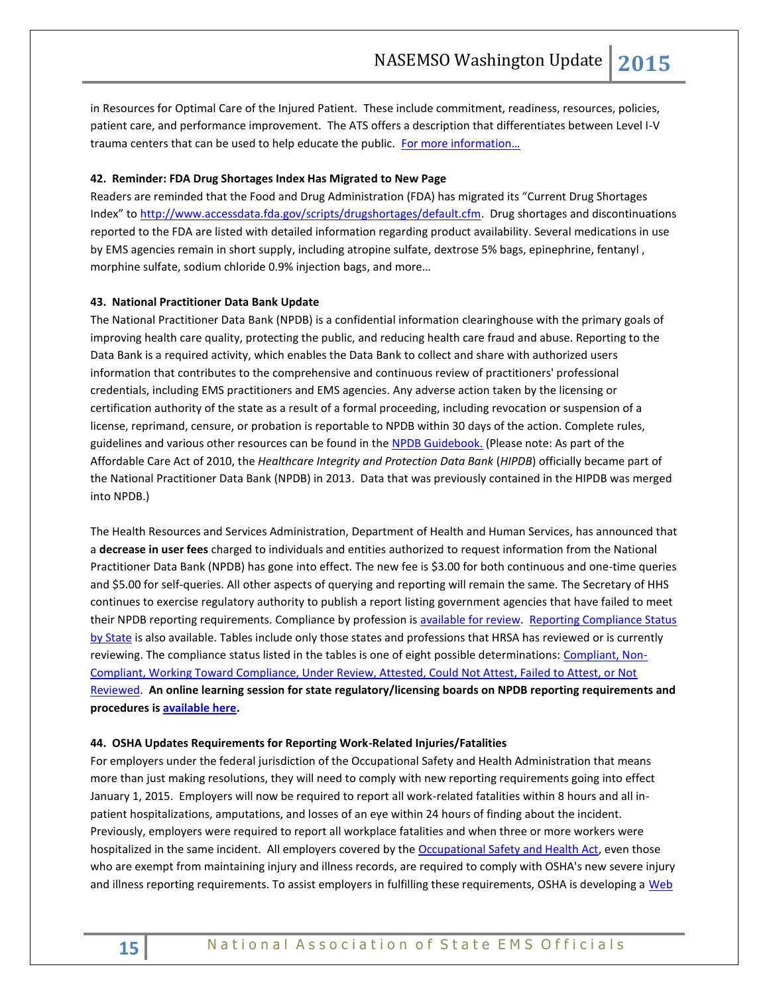in Resources for Optimal Care of the Injured Patient. These include commitment, readiness, resources, policies, patient care, and performance improvement. The ATS offers a description that differentiates between Level I-V trauma centers that can be used to help educate the public. For more information...

## **42. Reminder: FDA Drug Shortages Index Has Migrated to New Page**

Readers are reminded that the Food and Drug Administration (FDA) has migrated its "Current Drug Shortages Index" to [http://www.accessdata.fda.gov/scripts/drugshortages/default.cfm.](http://www.accessdata.fda.gov/scripts/drugshortages/default.cfm) Drug shortages and discontinuations reported to the FDA are listed with detailed information regarding product availability. Several medications in use by EMS agencies remain in short supply, including atropine sulfate, dextrose 5% bags, epinephrine, fentanyl , morphine sulfate, sodium chloride 0.9% injection bags, and more…

## **43. National Practitioner Data Bank Update**

The National Practitioner Data Bank (NPDB) is a confidential information clearinghouse with the primary goals of improving health care quality, protecting the public, and reducing health care fraud and abuse. Reporting to the Data Bank is a required activity, which enables the Data Bank to collect and share with authorized users information that contributes to the comprehensive and continuous review of practitioners' professional credentials, including EMS practitioners and EMS agencies. Any adverse action taken by the licensing or certification authority of the state as a result of a formal proceeding, including revocation or suspension of a license, reprimand, censure, or probation is reportable to NPDB within 30 days of the action. Complete rules, guidelines and various other resources can be found in the [NPDB Guidebook.](http://www.npdb.hrsa.gov/resources/NPDBGuidebook.pdf) (Please note: As part of the Affordable Care Act of 2010, the *Healthcare Integrity and Protection Data Bank* (*HIPDB*) officially became part of the National Practitioner Data Bank (NPDB) in 2013. Data that was previously contained in the HIPDB was merged into NPDB.)

The Health Resources and Services Administration, Department of Health and Human Services, has announced that a **decrease in user fees** charged to individuals and entities authorized to request information from the National Practitioner Data Bank (NPDB) has gone into effect. The new fee is \$3.00 for both continuous and one-time queries and \$5.00 for self-queries. All other aspects of querying and reporting will remain the same. The Secretary of HHS continues to exercise regulatory authority to publish a report listing government agencies that have failed to meet their NPDB reporting requirements. Compliance by profession is [available for review.](http://www.npdb.hrsa.gov/servlet/ComplianceStatusByProfessionServlet?selectedTab=Status) Reporting Compliance Status [by State](http://www.npdb.hrsa.gov/resources/npdbstats/npdbMap.jsp) is also available. Tables include only those states and professions that HRSA has reviewed or is currently reviewing. The compliance status listed in the tables is one of eight possible determinations: [Compliant, Non-](http://www.npdb.hrsa.gov/resources/TabbedPages/ComplianceStatusByProfession/Background.jsp)[Compliant, Working Toward Compliance, Under Review, Attested, Could Not Attest, Failed to Attest, or Not](http://www.npdb.hrsa.gov/resources/TabbedPages/ComplianceStatusByProfession/Background.jsp)  [Reviewed.](http://www.npdb.hrsa.gov/resources/TabbedPages/ComplianceStatusByProfession/Background.jsp) **An online learning session for state regulatory/licensing boards on NPDB reporting requirements and procedures is [available here.](http://www.npdb.hrsa.gov/community_n_education/webcasts/stateLicensingBoardForum.jsp)** 

#### **44. OSHA Updates Requirements for Reporting Work-Related Injuries/Fatalities**

For employers under the federal jurisdiction of the Occupational Safety and Health Administration that means more than just making resolutions, they will need to comply with new reporting requirements going into effect January 1, 2015. Employers will now be required to report all work-related fatalities within 8 hours and all inpatient hospitalizations, amputations, and losses of an eye within 24 hours of finding about the incident. Previously, employers were required to report all workplace fatalities and when three or more workers were hospitalized in the same incident. All employers covered by the [Occupational Safety and Health Act,](https://www.osha.gov/pls/oshaweb/owadisp.show_document?p_table=OSHACT&p_id=2743) even those who are exempt from maintaining injury and illness records, are required to comply with OSHA's new severe injury and illness reporting requirements. To assist employers in fulfilling these requirements, OSHA is developing a Web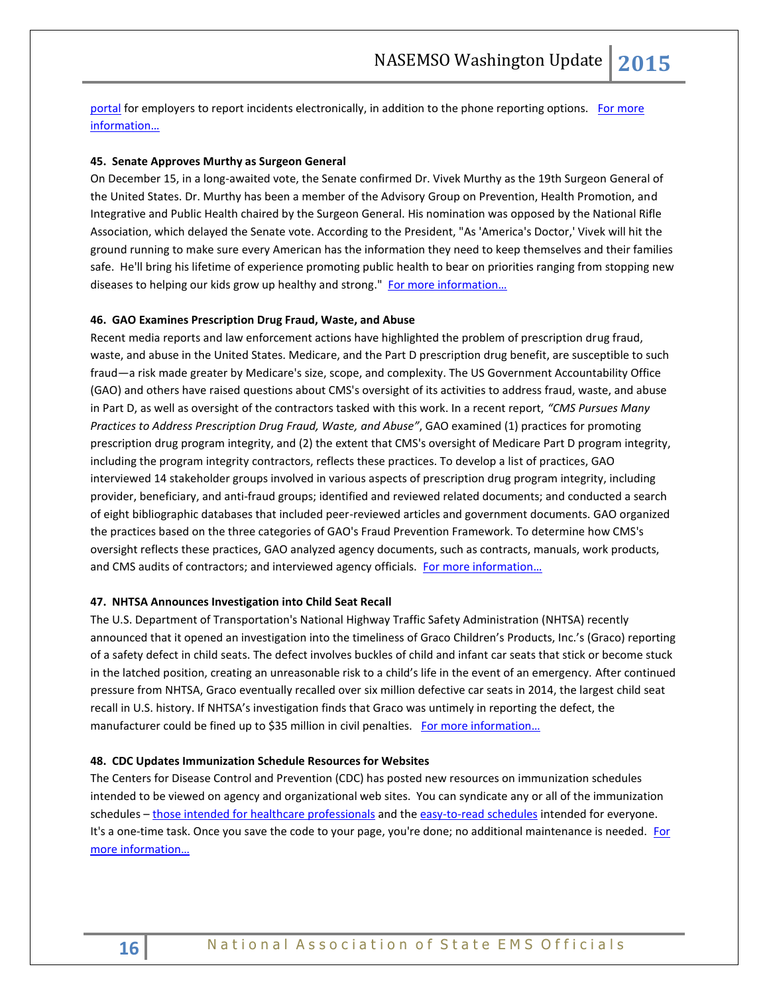[portal](https://www.osha.gov/report_online/) for employers to report incidents electronically, in addition to the phone reporting options. For more [information…](https://blog.dol.gov/2014/12/15/a-new-year-new-osha-reporting-requirements/)

## **45. Senate Approves Murthy as Surgeon General**

On December 15, in a long-awaited vote, the Senate confirmed Dr. Vivek Murthy as the 19th Surgeon General of the United States. Dr. Murthy has been a member of the Advisory Group on Prevention, Health Promotion, and Integrative and Public Health chaired by the Surgeon General. His nomination was opposed by the National Rifle Association, which delayed the Senate vote. According to the President, "As 'America's Doctor,' Vivek will hit the ground running to make sure every American has the information they need to keep themselves and their families safe. He'll bring his lifetime of experience promoting public health to bear on priorities ranging from stopping new diseases to helping our kids grow up healthy and strong." [For more information…](http://www.hhs.gov/news/press/2014pres/12/20141215a.html)

#### **46. GAO Examines Prescription Drug Fraud, Waste, and Abuse**

Recent media reports and law enforcement actions have highlighted the problem of prescription drug fraud, waste, and abuse in the United States. Medicare, and the Part D prescription drug benefit, are susceptible to such fraud—a risk made greater by Medicare's size, scope, and complexity. The US Government Accountability Office (GAO) and others have raised questions about CMS's oversight of its activities to address fraud, waste, and abuse in Part D, as well as oversight of the contractors tasked with this work. In a recent report, *"CMS Pursues Many Practices to Address Prescription Drug Fraud, Waste, and Abuse"*, GAO examined (1) practices for promoting prescription drug program integrity, and (2) the extent that CMS's oversight of Medicare Part D program integrity, including the program integrity contractors, reflects these practices. To develop a list of practices, GAO interviewed 14 stakeholder groups involved in various aspects of prescription drug program integrity, including provider, beneficiary, and anti-fraud groups; identified and reviewed related documents; and conducted a search of eight bibliographic databases that included peer-reviewed articles and government documents. GAO organized the practices based on the three categories of GAO's Fraud Prevention Framework. To determine how CMS's oversight reflects these practices, GAO analyzed agency documents, such as contracts, manuals, work products, and CMS audits of contractors; and interviewed agency officials. For more information...

## **47. NHTSA Announces Investigation into Child Seat Recall**

The U.S. Department of Transportation's National Highway Traffic Safety Administration (NHTSA) recently announced that it opened an investigation into the timeliness of Graco Children's Products, Inc.'s (Graco) reporting of a safety defect in child seats. The defect involves buckles of child and infant car seats that stick or become stuck in the latched position, creating an unreasonable risk to a child's life in the event of an emergency. After continued pressure from NHTSA, Graco eventually recalled over six million defective car seats in 2014, the largest child seat recall in U.S. history. If NHTSA's investigation finds that Graco was untimely in reporting the defect, the manufacturer could be fined up to \$35 million in civil penalties. [For more information…](http://www.safercar.gov/staticfiles/safercar/pdf/INCLA-EA13001-9133.pdf)

## **48. CDC Updates Immunization Schedule Resources for Websites**

The Centers for Disease Control and Prevention (CDC) has posted new resources on immunization schedules intended to be viewed on agency and organizational web sites. You can syndicate any or all of the immunization schedules – [those intended for healthcare professionals](http://www.cdc.gov/vaccines/schedules/syndicate.html#hcp) and th[e easy-to-read schedules](http://www.cdc.gov/vaccines/schedules/syndicate.html#easy-read) intended for everyone. It's a one-time task. Once you save the code to your page, you're done; no additional maintenance is needed. For [more information…](http://www.cdc.gov/vaccines/schedules/syndicate.html#easy-read)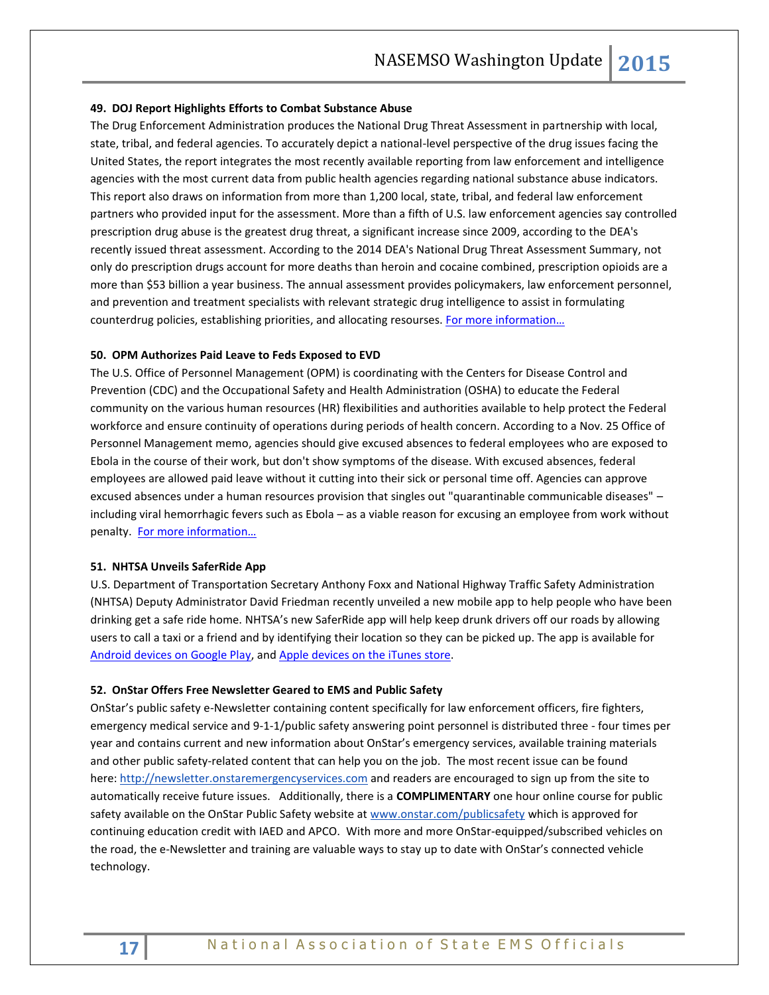## **49. DOJ Report Highlights Efforts to Combat Substance Abuse**

The Drug Enforcement Administration produces the National Drug Threat Assessment in partnership with local, state, tribal, and federal agencies. To accurately depict a national-level perspective of the drug issues facing the United States, the report integrates the most recently available reporting from law enforcement and intelligence agencies with the most current data from public health agencies regarding national substance abuse indicators. This report also draws on information from more than 1,200 local, state, tribal, and federal law enforcement partners who provided input for the assessment. More than a fifth of U.S. law enforcement agencies say controlled prescription drug abuse is the greatest drug threat, a significant increase since 2009, according to the DEA's recently issued threat assessment. According to the 2014 DEA's National Drug Threat Assessment Summary, not only do prescription drugs account for more deaths than heroin and cocaine combined, prescription opioids are a more than \$53 billion a year business. The annual assessment provides policymakers, law enforcement personnel, and prevention and treatment specialists with relevant strategic drug intelligence to assist in formulating counterdrug policies, establishing priorities, and allocating resourses. For more information...

#### **50. OPM Authorizes Paid Leave to Feds Exposed to EVD**

The U.S. Office of Personnel Management (OPM) is coordinating with the Centers for Disease Control and Prevention (CDC) and the Occupational Safety and Health Administration (OSHA) to educate the Federal community on the various human resources (HR) flexibilities and authorities available to help protect the Federal workforce and ensure continuity of operations during periods of health concern. According to a Nov. 25 Office of Personnel Management memo, agencies should give excused absences to federal employees who are exposed to Ebola in the course of their work, but don't show symptoms of the disease. With excused absences, federal employees are allowed paid leave without it cutting into their sick or personal time off. Agencies can approve excused absences under a human resources provision that singles out "quarantinable communicable diseases" – including viral hemorrhagic fevers such as Ebola – as a viable reason for excusing an employee from work without penalty. For more information...

#### **51. NHTSA Unveils SaferRide App**

U.S. Department of Transportation Secretary Anthony Foxx and National Highway Traffic Safety Administration (NHTSA) Deputy Administrator David Friedman recently unveiled a new mobile app to help people who have been drinking get a safe ride home. NHTSA's new SaferRide app will help keep drunk drivers off our roads by allowing users to call a taxi or a friend and by identifying their location so they can be picked up. The app is available for [Android devices on Google Play,](https://play.google.com/store/apps/details?id=com.nhtsa.SaferRide) an[d Apple devices on the](https://itunes.apple.com/us/app/saferride/id950774008?mt=8) iTunes store.

## **52. OnStar Offers Free Newsletter Geared to EMS and Public Safety**

OnStar's public safety e-Newsletter containing content specifically for law enforcement officers, fire fighters, emergency medical service and 9-1-1/public safety answering point personnel is distributed three - four times per year and contains current and new information about OnStar's emergency services, available training materials and other public safety-related content that can help you on the job. The most recent issue can be found here: [http://newsletter.onstaremergencyservices.com](http://newsletter.onstaremergencyservices.com/) and readers are encouraged to sign up from the site to automatically receive future issues. Additionally, there is a **COMPLIMENTARY** one hour online course for public safety available on the OnStar Public Safety website at [www.onstar.com/publicsafety](http://www.onstar.com/publicsafety) which is approved for continuing education credit with IAED and APCO. With more and more OnStar-equipped/subscribed vehicles on the road, the e-Newsletter and training are valuable ways to stay up to date with OnStar's connected vehicle technology.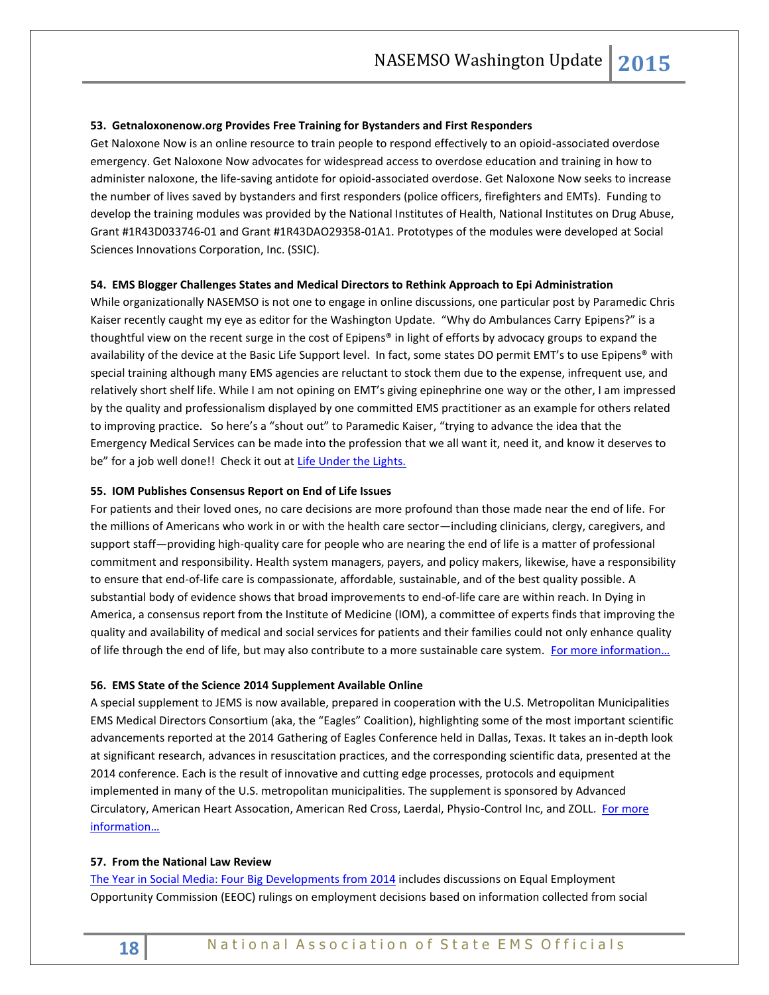## **53. Getnaloxonenow.org Provides Free Training for Bystanders and First Responders**

Get Naloxone Now is an online resource to train people to respond effectively to an opioid-associated overdose emergency. Get Naloxone Now advocates for widespread access to overdose education and training in how to administer naloxone, the life-saving antidote for opioid-associated overdose. Get Naloxone Now seeks to increase the number of lives saved by bystanders and first responders (police officers, firefighters and EMTs). Funding to develop the training modules was provided by the National Institutes of Health, National Institutes on Drug Abuse, Grant #1R43D033746-01 and Grant #1R43DAO29358-01A1. Prototypes of the modules were developed at Social Sciences Innovations Corporation, Inc. (SSIC).

## **54. EMS Blogger Challenges States and Medical Directors to Rethink Approach to Epi Administration**

While organizationally NASEMSO is not one to engage in online discussions, one particular post by Paramedic Chris Kaiser recently caught my eye as editor for the Washington Update. "Why do Ambulances Carry Epipens?" is a thoughtful view on the recent surge in the cost of Epipens® in light of efforts by advocacy groups to expand the availability of the device at the Basic Life Support level. In fact, some states DO permit EMT's to use Epipens® with special training although many EMS agencies are reluctant to stock them due to the expense, infrequent use, and relatively short shelf life. While I am not opining on EMT's giving epinephrine one way or the other, I am impressed by the quality and professionalism displayed by one committed EMS practitioner as an example for others related to improving practice. So here's a "shout out" to Paramedic Kaiser, "trying to advance the idea that the Emergency Medical Services can be made into the profession that we all want it, need it, and know it deserves to be" for a job well done!! Check it out at [Life Under the Lights.](http://www.lifeunderthelights.com/2014/12/22/why-do-ambulances-carry-epi-pens/#sthash.5el051Fz.Q9E9kXK7.dpbs)

## **55. IOM Publishes Consensus Report on End of Life Issues**

For patients and their loved ones, no care decisions are more profound than those made near the end of life. For the millions of Americans who work in or with the health care sector—including clinicians, clergy, caregivers, and support staff—providing high-quality care for people who are nearing the end of life is a matter of professional commitment and responsibility. Health system managers, payers, and policy makers, likewise, have a responsibility to ensure that end-of-life care is compassionate, affordable, sustainable, and of the best quality possible. A substantial body of evidence shows that broad improvements to end-of-life care are within reach. In Dying in America, a consensus report from the Institute of Medicine (IOM), a committee of experts finds that improving the quality and availability of medical and social services for patients and their families could not only enhance quality of life through the end of life, but may also contribute to a more sustainable care system. For more information...

#### **56. EMS State of the Science 2014 Supplement Available Online**

A special supplement to JEMS is now available, prepared in cooperation with the U.S. Metropolitan Municipalities EMS Medical Directors Consortium (aka, the "Eagles" Coalition), highlighting some of the most important scientific advancements reported at the 2014 Gathering of Eagles Conference held in Dallas, Texas. It takes an in-depth look at significant research, advances in resuscitation practices, and the corresponding scientific data, presented at the 2014 conference. Each is the result of innovative and cutting edge processes, protocols and equipment implemented in many of the U.S. metropolitan municipalities. The supplement is sponsored by Advanced Circulatory, American Heart Assocation, American Red Cross, Laerdal, Physio-Control Inc, and ZOLL. For more [information…](http://www.jems.com/special/ems-state-science-2014)

#### **57. From the National Law Review**

[The Year in Social Media: Four Big Developments from 2014](http://www.natlawreview.com/article/year-social-media-four-big-developments-2014) includes discussions on Equal Employment Opportunity Commission (EEOC) rulings on employment decisions based on information collected from social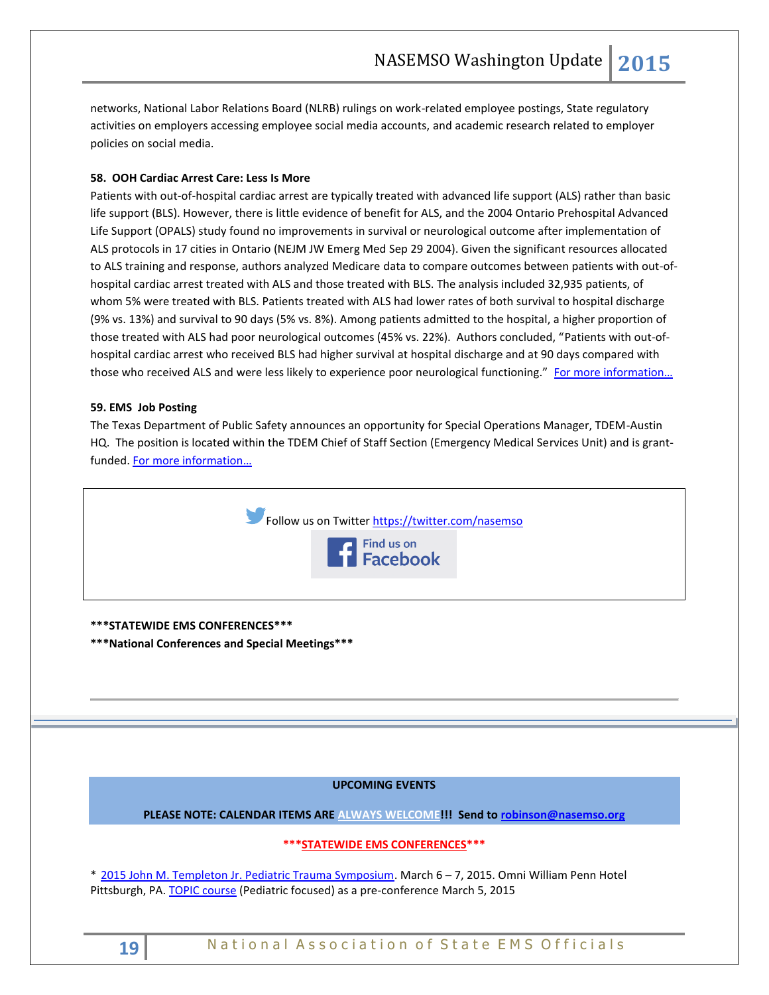networks, National Labor Relations Board (NLRB) rulings on work-related employee postings, State regulatory activities on employers accessing employee social media accounts, and academic research related to employer policies on social media.

## **58. OOH Cardiac Arrest Care: Less Is More**

Patients with out-of-hospital cardiac arrest are typically treated with advanced life support (ALS) rather than basic life support (BLS). However, there is little evidence of benefit for ALS, and the 2004 Ontario Prehospital Advanced Life Support (OPALS) study found no improvements in survival or neurological outcome after implementation of ALS protocols in 17 cities in Ontario (NEJM JW Emerg Med Sep 29 2004). Given the significant resources allocated to ALS training and response, authors analyzed Medicare data to compare outcomes between patients with out-ofhospital cardiac arrest treated with ALS and those treated with BLS. The analysis included 32,935 patients, of whom 5% were treated with BLS. Patients treated with ALS had lower rates of both survival to hospital discharge (9% vs. 13%) and survival to 90 days (5% vs. 8%). Among patients admitted to the hospital, a higher proportion of those treated with ALS had poor neurological outcomes (45% vs. 22%). Authors concluded, "Patients with out-ofhospital cardiac arrest who received BLS had higher survival at hospital discharge and at 90 days compared with those who received ALS and were less likely to experience poor neurological functioning." For more information...

## **59. EMS Job Posting**

The Texas Department of Public Safety announces an opportunity for Special Operations Manager, TDEM-Austin HQ. The position is located within the TDEM Chief of Staff Section (Emergency Medical Services Unit) and is grantfunded. [For more information…](http://agency.governmentjobs.com/txdps/default.cfm) 



## **\*\*\*STATEWIDE EMS CONFERENCES\*\*\***

**\*\*\*National Conferences and Special Meetings\*\*\***

## **UPCOMING EVENTS**

**PLEASE NOTE: CALENDAR ITEMS ARE ALWAYS WELCOME!!! Send t[o robinson@nasemso.org](mailto:robinson@nasemso.org)**

## **\*\*\*STATEWIDE EMS CONFERENCES\*\*\***

\* [2015 John M. Templeton Jr. Pediatric Trauma Symposium.](http://www.templetontrauma.org/) March 6 – 7, 2015. Omni William Penn Hotel Pittsburgh, PA[. TOPIC course](http://www.traumanurses.org/) (Pediatric focused) as a pre-conference March 5, 2015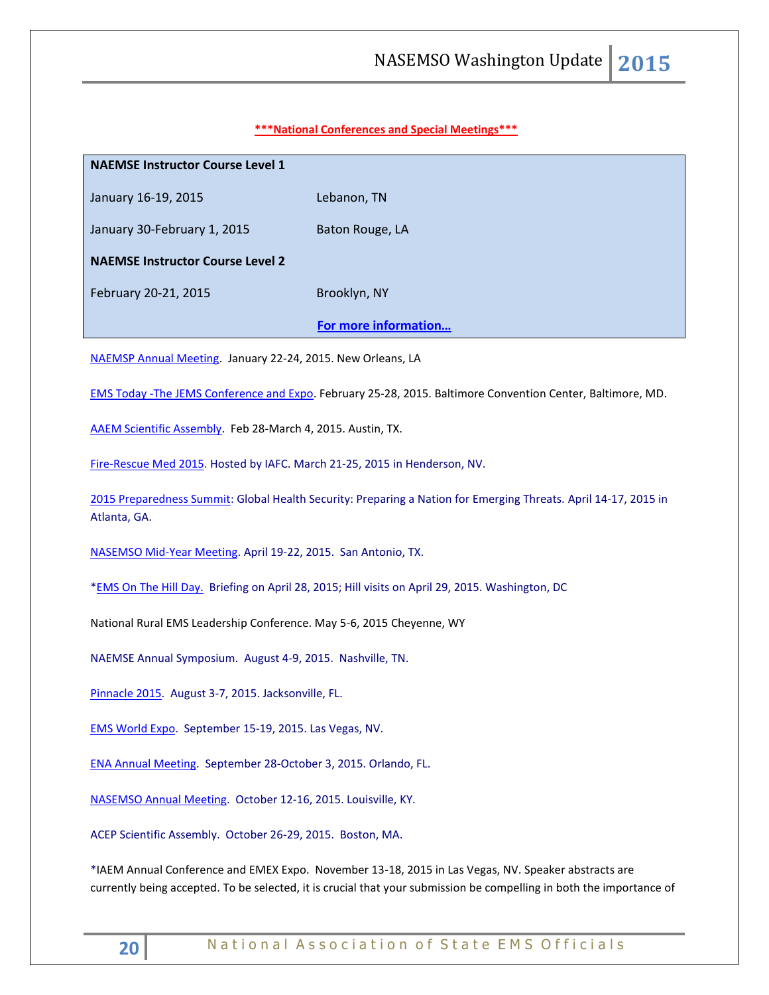## **\*\*\*National Conferences and Special Meetings\*\*\***

# **NAEMSE Instructor Course Level 1**

January 16-19, 2015 Lebanon, TN

January 30-February 1, 2015 Baton Rouge, LA

**NAEMSE Instructor Course Level 2**

February 20-21, 2015 Brooklyn, NY

## **[For more information…](http://www.naemse.org/instructor-course/)**

[NAEMSP Annual Meeting.](http://www.naemsp.org/Pages/Annual-Meeting.aspx) January 22-24, 2015. New Orleans, LA

EMS Today [-The JEMS Conference and Expo.](http://www.emstoday.com/) February 25-28, 2015. Baltimore Convention Center, Baltimore, MD.

[AAEM Scientific Assembly.](http://www.aaem.org/education/scientific-assembly) Feb 28-March 4, 2015. Austin, TX.

[Fire-Rescue Med 2015.](http://r20.rs6.net/tn.jsp?f=001wzKW8mjjcnbesjq6-qmpJD19e-gq3Y5FOwmLWLTgNIHh6hCIiHqstIkhCoTW5Uyg5JHBLmj2zNppZBHeNTGNTdI5SrotG71jPj3RaQkWp9X6p0vhHDIEZVzNUas8In4_qQGVO71TIkVNvy5kr3wuB85fej8-1BwMpA4FqxZYhS0=&c=K-4O5t1NK0pvyYYLP6KIFRGJQfUv3C2HcUe9uWpDHDHXSHf7SX---w==&ch=Yx938ZHswsHC8i2jMpUmQmj_h7fbCpC2dtXJjMCXJYGpD2EZ9Y-O6g==) Hosted by IAFC. March 21-25, 2015 in Henderson, NV.

[2015 Preparedness Summit:](http://r20.rs6.net/tn.jsp?f=001wzKW8mjjcnbesjq6-qmpJD19e-gq3Y5FOwmLWLTgNIHh6hCIiHqstFFMbeOwVwTNMuZX6CwfLJh1ec6r8FGt5MkZtgydlbkKvPVeaYNjBpYWW2JzpyHfusQltfbi8UCgcLGFDwwq0YW95dfGYVfynmKNiyRfz-lS_xckL2nnntfDjkKRdOYxfA==&c=K-4O5t1NK0pvyYYLP6KIFRGJQfUv3C2HcUe9uWpDHDHXSHf7SX---w==&ch=Yx938ZHswsHC8i2jMpUmQmj_h7fbCpC2dtXJjMCXJYGpD2EZ9Y-O6g==) Global Health Security: Preparing a Nation for Emerging Threats. April 14-17, 2015 in Atlanta, GA.

[NASEMSO Mid-Year Meeting.](http://www.nasemso.org/Meetings/MidYear/index.asp) April 19-22, 2015. San Antonio, TX.

[\\*EMS On The Hill Day.](http://www.naemt.org/advocacy/emsonthehillday.aspx) Briefing on April 28, 2015; Hill visits on April 29, 2015. Washington, DC

National Rural EMS Leadership Conference. May 5-6, 2015 Cheyenne, WY

NAEMSE Annual Symposium. August 4-9, 2015. Nashville, TN.

[Pinnacle 2015.](http://pinnacle-ems.com/program/) August 3-7, 2015. Jacksonville, FL.

[EMS World Expo.](http://emsworldexpo.com/) September 15-19, 2015. Las Vegas, NV.

[ENA Annual Meeting.](http://www.ena.org/education/conferences/2015/Pages/default.aspx) September 28-October 3, 2015. Orlando, FL.

[NASEMSO Annual Meeting.](http://www.nasemso.org/Meetings/Annual/AnnualMeeting2015.asp) October 12-16, 2015. Louisville, KY.

ACEP Scientific Assembly. October 26-29, 2015. Boston, MA.

\*IAEM Annual Conference and EMEX Expo. November 13-18, 2015 in Las Vegas, NV. Speaker abstracts are currently being accepted. To be selected, it is crucial that your submission be compelling in both the importance of